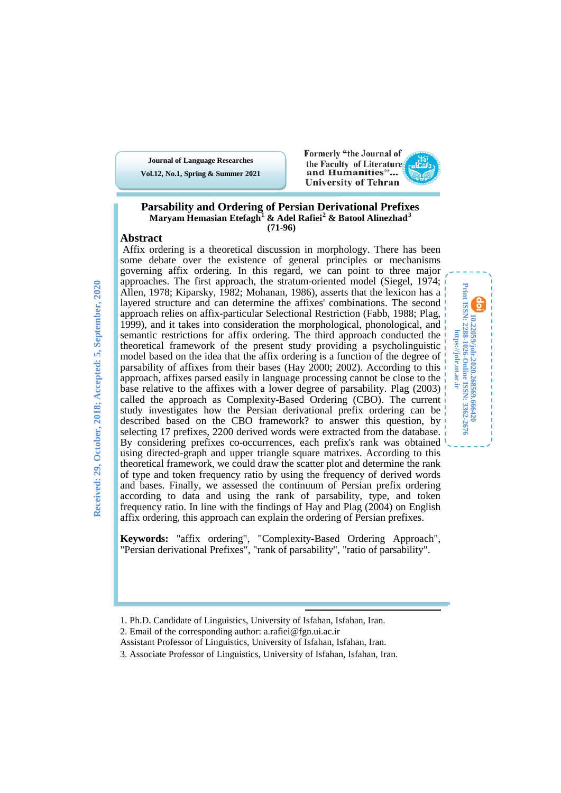**Vol.12, No.1, Spring & Summer 2021 Journal of Language Researches**

Formerly "the Journal of the Faculty of Literature and Humanities"... **University of Tehran** 

> **10.22059/jolr.2020.268569.666420 Print ISSN: 2288-1026-Online ISSN: 3362-2676 https://jolr.ut.ac.ir**

**Print ISSN: 2288-1026-0nline ISSN: 3362-2676**<br>Print ISSN: 2288-1026-0nline ISSN: 3362-2676 https://jolr.ut.ac.ir

#### **Parsability and Ordering of Persian Derivational Prefixes Maryam Hemasian Etefagh[1](#page-0-0) & Adel Rafiei[2](#page-0-1) & Batool Alinezhad[3](#page-0-2) (71-96)**

### **Abstract**

Affix ordering is a theoretical discussion in morphology. There has been some debate over the existence of general principles or mechanisms governing affix ordering. In this regard, we can point to three major approaches. The first approach, the stratum-oriented model (Siegel, 1974; Allen, 1978; Kiparsky, 1982; Mohanan, 1986), asserts that the lexicon has a layered structure and can determine the affixes' combinations. The second approach relies on affix-particular Selectional Restriction (Fabb, 1988; Plag, 1999), and it takes into consideration the morphological, phonological, and semantic restrictions for affix ordering. The third approach conducted the theoretical framework of the present study providing a psycholinguistic model based on the idea that the affix ordering is a function of the degree of parsability of affixes from their bases (Hay 2000; 2002). According to this approach, affixes parsed easily in language processing cannot be close to the base relative to the affixes with a lower degree of parsability. Plag (2003) called the approach as Complexity-Based Ordering (CBO). The current study investigates how the Persian derivational prefix ordering can be described based on the CBO framework? to answer this question, by selecting 17 prefixes, 2200 derived words were extracted from the database. By considering prefixes co-occurrences, each prefix's rank was obtained using directed-graph and upper triangle square matrixes. According to this theoretical framework, we could draw the scatter plot and determine the rank of type and token frequency ratio by using the frequency of derived words and bases. Finally, we assessed the continuum of Persian prefix ordering according to data and using the rank of parsability, type, and token frequency ratio. In line with the findings of Hay and Plag (2004) on English affix ordering, this approach can explain the ordering of Persian prefixes.

**Keywords:** "affix ordering", "Complexity-Based Ordering Approach", "Persian derivational Prefixes", "rank of parsability", "ratio of parsability".

l,

- <span id="page-0-0"></span>1. Ph.D. Candidate of Linguistics, University of Isfahan, Isfahan, Iran.
- <span id="page-0-1"></span>2. Email of the corresponding author: a.rafiei@fgn.ui.ac.ir
- Assistant Professor of Linguistics, University of Isfahan, Isfahan, Iran.
- <span id="page-0-2"></span>3. Associate Professor of Linguistics, University of Isfahan, Isfahan, Iran.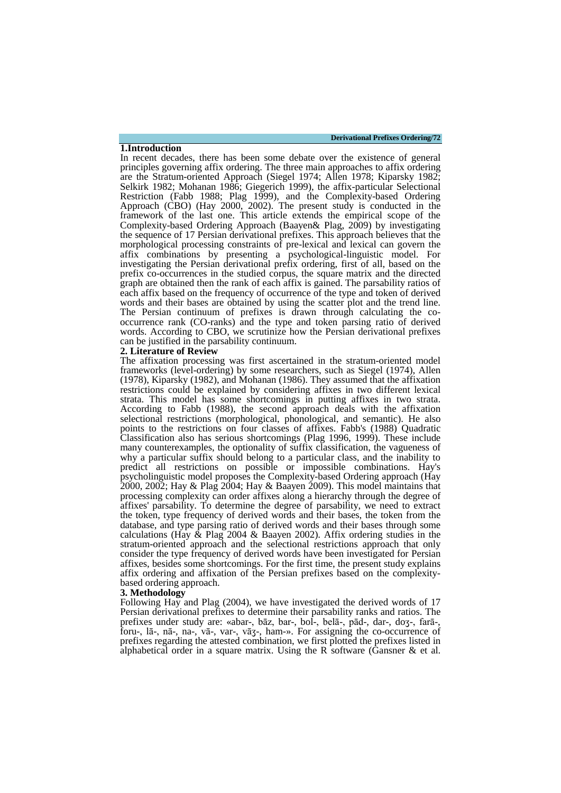**Derivational Prefixes Ordering/72**

In recent decades, there has been some debate over the existence of general principles governing affix ordering. The three main approaches to affix ordering are the Stratum-oriented Approach (Siegel 1974; Allen 1978; Kiparsky 1982; Selkirk 1982; Mohanan 1986; Giegerich 1999), the affix-particular Selectional Restriction (Fabb 1988; Plag 1999), and the Complexity-based Ordering Approach (CBO) (Hay 2000, 2002). The present study is conducted in the framework of the last one. This article extends the empirical scope of the Complexity-based Ordering Approach (Baayen& Plag, 2009) by investigating the sequence of 17 Persian derivational prefixes. This approach believes that the morphological processing constraints of pre-lexical and lexical can govern the affix combinations by presenting a psychological-linguistic model. For investigating the Persian derivational prefix ordering, first of all, based on the prefix co-occurrences in the studied corpus, the square matrix and the directed graph are obtained then the rank of each affix is gained. The parsability ratios of each affix based on the frequency of occurrence of the type and token of derived words and their bases are obtained by using the scatter plot and the trend line. The Persian continuum of prefixes is drawn through calculating the co- occurrence rank (CO-ranks) and the type and token parsing ratio of derived words. According to CBO, we scrutinize how the Persian derivational prefixes can be justified in the parsability continuum.

#### **2. Literature of Review**

**1.Introduction**

The affixation processing was first ascertained in the stratum-oriented model frameworks (level-ordering) by some researchers, such as Siegel (1974), Allen (1978), Kiparsky (1982), and Mohanan (1986). They assumed that the affixation restrictions could be explained by considering affixes in two different lexical strata. This model has some shortcomings in putting affixes in two strata. According to Fabb (1988), the second approach deals with the affixation selectional restrictions (morphological, phonological, and semantic). He also points to the restrictions on four classes of affixes. Fabb's (1988) Quadratic Classification also has serious shortcomings (Plag 1996, 1999). These include many counterexamples, the optionality of suffix classification, the vagueness of why a particular suffix should belong to a particular class, and the inability to predict all restrictions on possible or impossible combinations. Hay's psycholinguistic model proposes the Complexity-based Ordering approach (Hay 2000, 2002; Hay & Plag 2004; Hay & Baayen 2009). This model maintains that processing complexity can order affixes along a hierarchy through the degree of affixes' parsability. To determine the degree of parsability, we need to extract the token, type frequency of derived words and their bases, the token from the database, and type parsing ratio of derived words and their bases through some calculations (Hay  $\&$  Plag 2004  $\&$  Baayen 2002). Affix ordering studies in the stratum-oriented approach and the selectional restrictions approach that only consider the type frequency of derived words have been investigated for Persian affixes, besides some shortcomings. For the first time, the present study explains affix ordering and affixation of the Persian prefixes based on the complexity- based ordering approach.

#### **3. Methodology**

Following Hay and Plag (2004), we have investigated the derived words of 17 Persian derivational prefixes to determine their parsability ranks and ratios. The prefixes under study are: «abar-, bāz, bar-, bol-, belā-, pād-, dar-, doʒ-, farā-, foru-, lā-, nā-, na-, vā-, var-, vāʒ-, ham-». For assigning the co-occurrence of prefixes regarding the attested combination, we first plotted the prefixes listed in alphabetical order in a square matrix. Using the R software (Gansner  $\&$  et al.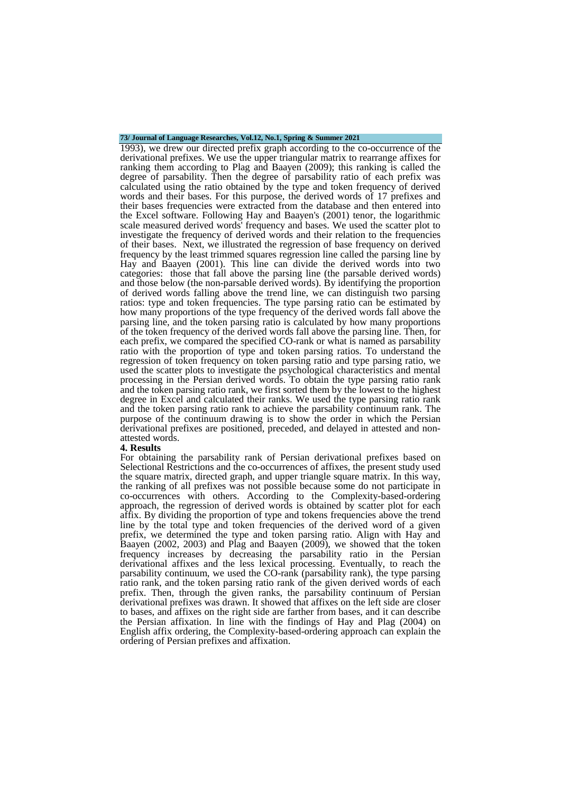### **73/ Journal of Language Researches, Vol.12, No.1, Spring & Summer 2021**

1993), we drew our directed prefix graph according to the co-occurrence of the derivational prefixes. We use the upper triangular matrix to rearrange affixes for ranking them according to Plag and Baayen (2009); this ranking is called the degree of parsability. Then the degree of parsability ratio of each prefix was calculated using the ratio obtained by the type and token frequency of derived words and their bases. For this purpose, the derived words of 17 prefixes and their bases frequencies were extracted from the database and then entered into the Excel software. Following Hay and Baayen's (2001) tenor, the logarithmic scale measured derived words' frequency and bases. We used the scatter plot to investigate the frequency of derived words and their relation to the frequencies of their bases. Next, we illustrated the regression of base frequency on derived frequency by the least trimmed squares regression line called the parsing line by Hay and Baayen (2001). This line can divide the derived words into two categories: those that fall above the parsing line (the parsable derived words) and those below (the non-parsable derived words). By identifying the proportion of derived words falling above the trend line, we can distinguish two parsing ratios: type and token frequencies. The type parsing ratio can be estimated by how many proportions of the type frequency of the derived words fall above the parsing line, and the token parsing ratio is calculated by how many proportions of the token frequency of the derived words fall above the parsing line. Then, for each prefix, we compared the specified CO-rank or what is named as parsability ratio with the proportion of type and token parsing ratios. To understand the regression of token frequency on token parsing ratio and type parsing ratio, we used the scatter plots to investigate the psychological characteristics and mental processing in the Persian derived words. To obtain the type parsing ratio rank and the token parsing ratio rank, we first sorted them by the lowest to the highest degree in Excel and calculated their ranks. We used the type parsing ratio rank and the token parsing ratio rank to achieve the parsability continuum rank. The purpose of the continuum drawing is to show the order in which the Persian derivational prefixes are positioned, preceded, and delayed in attested and non- attested words.

#### **4. Results**

For obtaining the parsability rank of Persian derivational prefixes based on Selectional Restrictions and the co-occurrences of affixes, the present study used the square matrix, directed graph, and upper triangle square matrix. In this way, the ranking of all prefixes was not possible because some do not participate in co-occurrences with others. According to the Complexity-based-ordering approach, the regression of derived words is obtained by scatter plot for each affix. By dividing the proportion of type and tokens frequencies above the trend line by the total type and token frequencies of the derived word of a given prefix, we determined the type and token parsing ratio. Align with Hay and Baayen (2002, 2003) and Plag and Baayen (2009), we showed that the token frequency increases by decreasing the parsability ratio in the Persian derivational affixes and the less lexical processing. Eventually, to reach the parsability continuum, we used the CO-rank (parsability rank), the type parsing ratio rank, and the token parsing ratio rank of the given derived words of each prefix. Then, through the given ranks, the parsability continuum of Persian derivational prefixes was drawn. It showed that affixes on the left side are closer to bases, and affixes on the right side are farther from bases, and it can describe the Persian affixation. In line with the findings of Hay and Plag (2004) on English affix ordering, the Complexity-based-ordering approach can explain the ordering of Persian prefixes and affixation.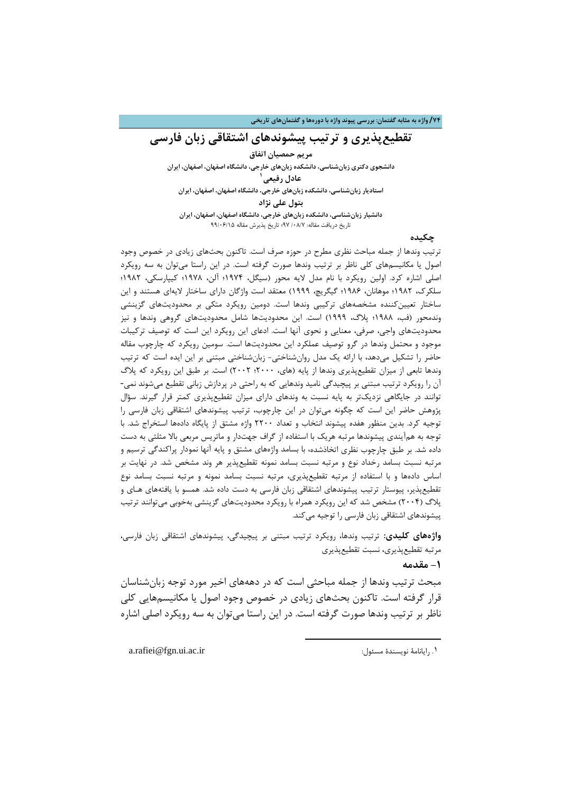#### **/74 واژه به مثابه گفتمان: بررسی پیوند واژه با دورهها و گفتمانهاي تاریخی**

### **تقطیعپذیري و ترتیب پیشوندهاي اشتقاقی زبان فارسی**

**مریم حمصیان اتفاق دانشجوي دکتري زبانشناسی، دانشکده زبانهاي خارجی، دانشگاه اصفهان، اصفهان، ایران 1 عادل رفیعی استادیار زبانشناسی، دانشکده زبانهاي خارجی، دانشگاه اصفهان، اصفهان، ایران بتول علی نژاد دانشیار زبانشناسی، دانشکده زبانهاي خارجی، دانشگاه اصفهان، اصفهان، ایران**

تاریخ دریافت مقاله:/08[/7](#page-3-0) 97؛ تاریخ پذیرش مقاله 99/06/15

### **چکیده**

ترتیب وندها از جمله مباحث نظري مطرح در حوزه صرف است. تاکنون بحثهاي زیادي در خصوص وجود اصول یا مکانیسمهاي کلی ناظر بر ترتیب وندها صورت گرفته است. در این راستا میتوان به سه رویکرد اصلی اشاره کرد. اولین رویکرد با نام مدل لایه محور (سیگل، 1974؛ آلن، 1978؛ کیپارسکی، 1982؛ سلکرك، 1982؛ موهانان، 1986؛ گیگریچ، 1999) معتقد است واژگان داراي ساختار لایهاي هستند و این ساختار تعیینکننده مشخصههاي ترکیبی وندها است. دومین رویکرد متکی بر محدودیتهاي گزینشی وندمحور (فب، 1988؛ پلاگ، 1999) است. این محدودیتها شامل محدودیتهاي گروهی وندها و نیز محدودیتهاي واجی، صرفی، معنایی و نحوي آنها است. ادعاي این رویکرد این است که توصیف ترکیبات موجود و محتمل وندها در گرو توصیف عملکرد این محدودیتها است. سومین رویکرد که چارچوب مقاله حاضر را تشکیل میدهد، با ارائه یک مدل روانشناختی- زبانشناختی مبتنی بر این ایده است که ترتیب وندها تابعی از میزان تقطیعپذیري وندها از پایه (هاي، 2000؛ 2002) است. بر طبق این رویکرد که پلاگ آن را رویکرد ترتیب مبتنی بر پیچیدگی نامید وندهایی که به راحتی در پردازش زبانی تقطیع میشوند نمی- توانند در جایگاهی نزدیکتر به پایه نسبت به وندهاي داراي میزان تقطیعپذیري کمتر قرار گیرند. سؤال پژوهش حاضر این است که چگونه میتوان در این چارچوب، ترتیب پیشوندهاي اشتقاقی زبان فارسی را توجیه کرد. بدین منظور هفده پیشوند انتخاب و تعداد 2200 واژه مشتق از پایگاه دادهها استخراج شد. با توجه به همآیندي پیشوندها مرتبه هریک با استفاده از گراف جهتدار و ماتریس مربعی بالا مثلثی به دست داده شد. بر طبق چارچوب نظري اتخاذشده، با بسامد واژههاي مشتق و پایه آنها نمودار پراکندگی ترسیم و مرتبه نسبت بسامد رخداد نوع و مرتبه نسبت بسامد نمونه تقطیعپذیر هر وند مشخص شد. در نهایت بر اساس دادهها و با استفاده از مرتبه تقطیعپذیري، مرتبه نسبت بسامد نمونه و مرتبه نسبت بسامد نوع تقطیعپذیر، پیوستار ترتیب پیشوندهاي اشتقاقی زبان فارسی به دست داده شد. همسو با یافتههاي هـاي و پلاگ (2004) مشخص شد که این رویکرد همراه با رویکرد محدودیتهاي گزینشی بهخوبی میتوانند ترتیب پیشوندهاي اشتقاقی زبان فارسی را توجیه میکند.

**واژههاي کلیدي:** ترتیب وندها، رویکرد ترتیب مبتنی بر پیچیدگی، پیشوندهاي اشتقاقی زبان فارسی، مرتبه تقطیعپذیري، نسبت تقطیعپذیري

**-1 مقدمه**

مبحث ترتیب وندها از جمله مباحثی است که در دهههاي اخیر مورد توجه زبانشناسان قرار گرفته است. تاکنون بحثهاي زیادي در خصوص وجود اصول یا مکانیسمهایی کلی ناظر بر ترتیب وندها صورت گرفته است. در این راستا میتوان به سه رویکرد اصلی اشاره

**.** 

<span id="page-3-0"></span>a.rafiei@fgn.ui.ac.ir :مایانامۀ نویسندۀ مسئول:  $\cdot$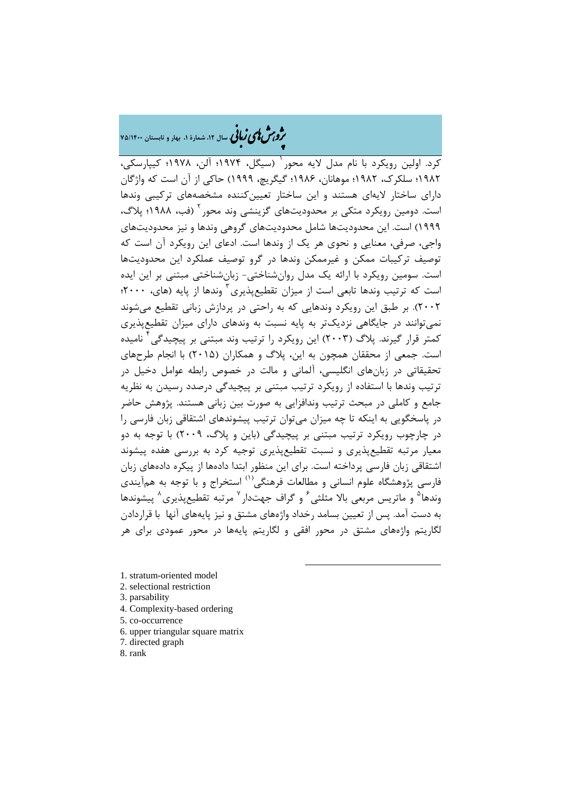### �ی زبا **، سال ،12 شمارة ،1 بهار و تابستان 75/1400** � �و ی �ش

کرد. اولین رویکرد با نام مدل لایه محور <sup>(</sup> (سیگل، ۱۹۷۴؛ آلن، ۱۹۷۸؛ کیپارسکی، 1982؛ سلکرك، 1982؛ موهانان، 1986؛ گیگریچ، 1999) حاکی از آن است که واژگان داراي ساختار لایهاي هستند و این ساختار تعیینکننده مشخصههاي ترکیبی وندها است. دومین رویکرد متکی بر محدودیتهای گزینشی وند محور <sup>۲</sup> (فب، ۱۹۸۸؛ پلاگ، 1999) است. این محدودیتها شامل محدودیتهاي گروهی وندها و نیز محدودیتهاي واجی، صرفی، معنایی و نحوي هر یک از وندها است. ادعاي این رویکرد آن است که توصیف ترکیبات ممکن و غیرممکن وندها در گرو توصیف عملکرد این محدودیتها است. سومین رویکرد با ارائه یک مدل روانشناختی- زبانشناختی مبتنی بر این ایده است که ترتیب وندها تابعی است از میزان تقطیعپذیری <sup>۳</sup> وندها از پایه (های، ۲۰۰۰؛ 2002). بر طبق این رویکرد وندهایی که به راحتی در پردازش زبانی تقطیع میشوند نمیتوانند در جایگاهی نزدیکتر به پایه نسبت به وندهاي داراي میزان تقطیعپذیري کمتر قرار گیرند. پلاگ (۲۰۰۳) این رویکرد را ترتیب وند مبتنی بر پیچیدگی<sup>۲</sup> نامیده است. جمعی از محققان همچون به این، پلاگ و همکاران (2015) با انجام طرحهاي تحقیقاتی در زبانهاي انگلیسی، آلمانی و مالت در خصوص رابطه عوامل دخیل در ترتیب وندها با استفاده از رویکرد ترتیب مبتنی بر پیچیدگی درصدد رسیدن به نظریه جامع و کاملی در مبحث ترتیب وندافزایی به صورت بین زبانی هستند. پژوهش حاضر در پاسخگویی به اینکه تا چه میزان میتوان ترتیب پیشوندهاي اشتقاقی زبان فارسی را در چارچوب رویکرد ترتیب مبتنی بر پیچیدگی (باین و پلاگ، 2009) با توجه به دو معیار مرتبه تقطیعپذیري و نسبت تقطیعپذیري توجیه کرد به بررسی هفده پیشوند اشتقاقی زبان فارسی پرداخته است. براي این منظور ابتدا دادهها از پیکره دادههاي زبان فارسی پژوهشگاه علوم انسانی و مطالعات فرهنگی<sup>(۱)</sup> استخراج و با توجه به همآیندی وندها<sup>۵</sup> و ماتریس مربعی بالا مثلثی<sup>۶</sup> و گراف جهتدار <sup>۷</sup> مرتبه تقطیعپذیری<sup>۸</sup> پیشوندها به دست آمد. پس از تعیین بسامد رخداد واژههاي مشتق و نیز پایههاي آنها با قراردادن لگاریتم واژههاي مشتق در محور افقی و لگاریتم پایهها در محور عمودي براي هر

**.** 

- [1.](#page-4-7) stratum-oriented model
- <span id="page-4-1"></span><span id="page-4-0"></span>2. selectional restriction
- <span id="page-4-2"></span>3. parsability
- <span id="page-4-3"></span>4. Complexity-based ordering
- <span id="page-4-4"></span>5. co-occurrence
- <span id="page-4-5"></span>6. upper triangular square matrix
- <span id="page-4-6"></span>7. directed graph
- <span id="page-4-7"></span>8. rank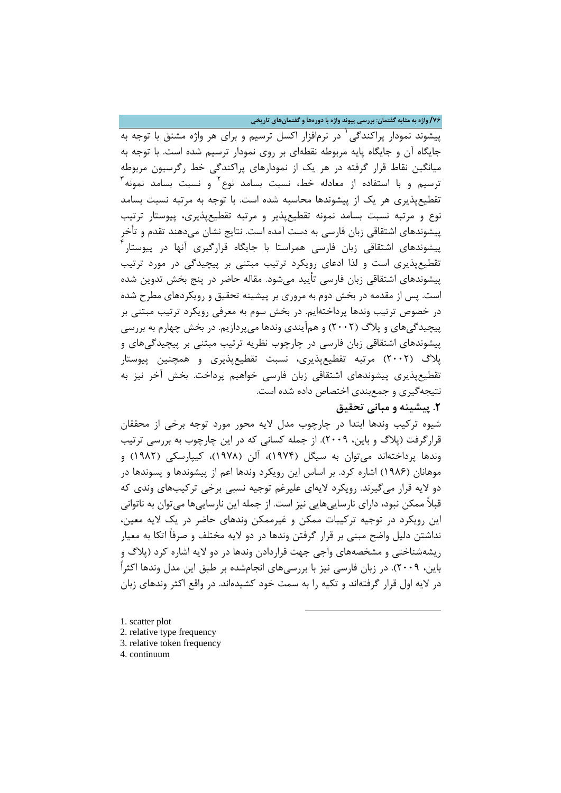**/76 واژه به مثابه گفتمان: بررسی پیوند واژه با دورهها و گفتمانهاي تاریخی**

پیشوند نمودار پراکندگی ` در نرمافزار اکسل ترسیم و برای هر واژه مشتق با توجه به جایگاه آن و جایگاه پایه مربوطه نقطهاي بر روي نمودار ترسیم شده است. با توجه به میانگین نقاط قرار گرفته در هر یک از نمودارهاي پراکندگی خط رگرسیون مربوطه ترسیم و با استفاده از معادله خط، نسبت بسامد نوع<sup>۲</sup> و نسبت بسامد نمونه<sup>۳</sup> تقطیعپذیري هر یک از پیشوندها محاسبه شده است. با توجه به مرتبه نسبت بسامد نوع و مرتبه نسبت بسامد نمونه تقطیعپذیر و مرتبه تقطیعپذیري، پیوستار ترتیب پیشوندهاي اشتقاقی زبان فارسی به دست آمده است. نتایج نشان میدهند تقدم و تأخر پیشوندهای اشتقاقی زبان فارسی همراستا با جایگاه قرارگیری آنها در پیوستار<sup>۴</sup> تقطیعپذیري است و لذا ادعاي رویکرد ترتیب مبتنی بر پیچیدگی در مورد ترتیب پیشوندهاي اشتقاقی زبان فارسی تأیید میشود. مقاله حاضر در پنج بخش تدوین شده است. پس از مقدمه در بخش دوم به مروري بر پیشینه تحقیق و رویکردهاي مطرح شده در خصوص ترتیب وندها پرداختهایم. در بخش سوم به معرفی رویکرد ترتیب مبتنی بر پیچیدگیهاي و پلاگ (2002) و همآیندي وندها میپردازیم. در بخش چهارم به بررسی پیشوندهاي اشتقاقی زبان فارسی در چارچوب نظریه ترتیب مبتنی بر پیچیدگیهاي و پلاگ (2002) مرتبه تقطیعپذیري، نسبت تقطیعپذیري و همچنین پیوستار تقطیعپذیري پیشوندهاي اشتقاقی زبان فارسی خواهیم پرداخت. بخش آخر نیز به نتیجهگیري و جمعبندي اختصاص داده شده است.

### **.2 پیشینه و مبانی تحقیق**

شیوه ترکیب وندها ابتدا در چارچوب مدل لایه محور مورد توجه برخی از محققان قرارگرفت (پلاگ و باین، 2009). از جمله کسانی که در این چارچوب به بررسی ترتیب وندها پرداختهاند میتوان به سیگل (1974)، آلن (1978)، کیپارسکی (1982) و موهانان (1986) اشاره کرد. بر اساس این رویکرد وندها اعم از پیشوندها و پسوندها در دو لایه قرار میگیرند. رویکرد لایهاي علیرغم توجیه نسبی برخی ترکیبهاي وندي که قبلاً ممکن نبود، داراي نارساییهایی نیز است. از جمله این نارساییها میتوان به ناتوانی این رویکرد در توجیه ترکیبات ممکن و غیرممکن وندهاي حاضر در یک لایه معین، نداشتن دلیل واضح مبنی بر قرار گرفتن وندها در دو لایه مختلف و صرفاً اتکا به معیار ریشهشناختی و مشخصههاي واجی جهت قراردادن وندها در دو لایه اشاره کرد (پلاگ و باین، 2009). در زبان فارسی نیز با بررسیهاي انجامشده بر طبق این مدل وندها اکثراً در لایه اول قرار گرفتهاند و تکیه را به سمت خود کشیدهاند. در واقع اکثر وندهاي زبان

**.** 

- <span id="page-5-1"></span><span id="page-5-0"></span>[1.](#page-5-3) scatter plot 2. relative type frequency 3. relative token frequency
- <span id="page-5-3"></span><span id="page-5-2"></span>4. continuum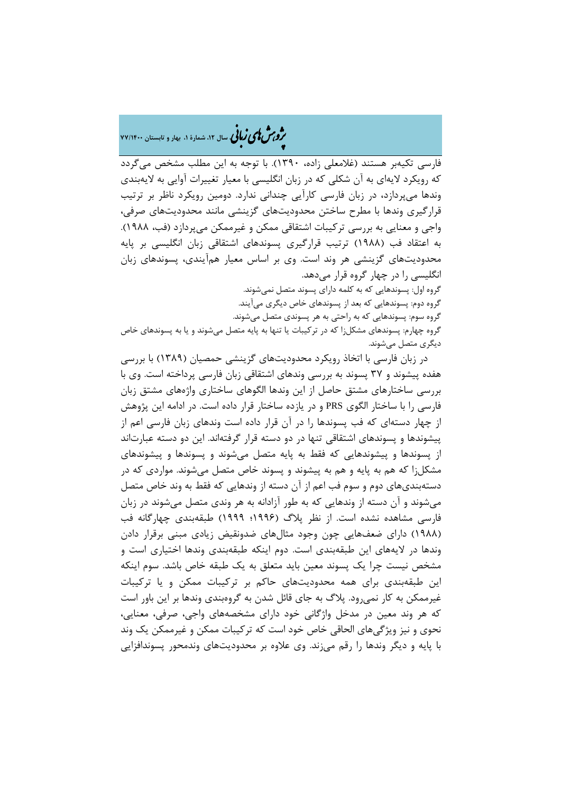�ی زبا **، سال ،12 شمارة ،1 بهار و تابستان 77/1400** � �و ی �ش

فارسی تکیهبر هستند (غلامعلی زاده، 1390). با توجه به این مطلب مشخص میگردد که رویکرد لایهاي به آن شکلی که در زبان انگلیسی با معیار تغییرات آوایی به لایهبندي وندها میپردازد، در زبان فارسی کارآیی چندانی ندارد. دومین رویکرد ناظر بر ترتیب قرارگیري وندها با مطرح ساختن محدودیتهاي گزینشی مانند محدودیتهاي صرفی، واجی و معنایی به بررسی ترکیبات اشتقاقی ممکن و غیرممکن میپردازد (فب، 1988). به اعتقاد فب (1988) ترتیب قرارگیري پسوندهاي اشتقاقی زبان انگلیسی بر پایه محدودیتهاي گزینشی هر وند است. وي بر اساس معیار همآیندي، پسوندهاي زبان انگلیسی را در چهار گروه قرار میدهد. گروه اول: پسوندهایی که به کلمه داراي پسوند متصل نمیشوند.

گروه دوم: پسوندهایی که بعد از پسوندهاي خاص دیگري میآیند. گروه سوم: پسوندهایی که به راحتی به هر پسوندي متصل میشوند. گروه چهارم: پسوندهاي مشکلزا که در ترکیبات یا تنها به پایه متصل میشوند و یا به پسوندهاي خاص دیگري متصل میشوند.

در زبان فارسی با اتخاذ رویکرد محدودیتهاي گزینشی حمصیان (1389) با بررسی هفده پیشوند و 37 پسوند به بررسی وندهاي اشتقاقی زبان فارسی پرداخته است. وي با بررسی ساختارهاي مشتق حاصل از این وندها الگوهاي ساختاري واژههاي مشتق زبان فارسی را با ساختار الگوي PRS و در یازده ساختار قرار داده است. در ادامه این پژوهش از چهار دستهاي که فب پسوندها را در آن قرار داده است وندهاي زبان فارسی اعم از پیشوندها و پسوندهاي اشتقاقی تنها در دو دسته قرار گرفتهاند. این دو دسته عبارتاند از پسوندها و پیشوندهایی که فقط به پایه متصل میشوند و پسوندها و پیشوندهاي مشکلزا که هم به پایه و هم به پیشوند و پسوند خاص متصل میشوند. مواردي که در دستهبنديهاي دوم و سوم فب اعم از آن دسته از وندهایی که فقط به وند خاص متصل میشوند و آن دسته از وندهایی که به طور آزادانه به هر وندي متصل میشوند در زبان فارسی مشاهده نشده است. از نظر پلاگ (1996؛ 1999) طبقهبندي چهارگانه فب (1988) داراي ضعفهایی چون وجود مثالهاي ضدونقیض زیادي مبنی برقرار دادن وندها در لایههاي این طبقهبندي است. دوم اینکه طبقهبندي وندها اختیاري است و مشخص نیست چرا یک پسوند معین باید متعلق به یک طبقه خاص باشد. سوم اینکه این طبقهبندي براي همه محدودیتهاي حاکم بر ترکیبات ممکن و یا ترکیبات غیرممکن به کار نمیرود. پلاگ به جاي قائل شدن به گروهبندي وندها بر این باور است که هر وند معین در مدخل واژگانی خود داراي مشخصههاي واجی، صرفی، معنایی، نحوي و نیز ویژگیهاي الحاقی خاص خود است که ترکیبات ممکن و غیرممکن یک وند با پایه و دیگر وندها را رقم میزند. وي علاوه بر محدودیتهاي وندمحور پسوندافزایی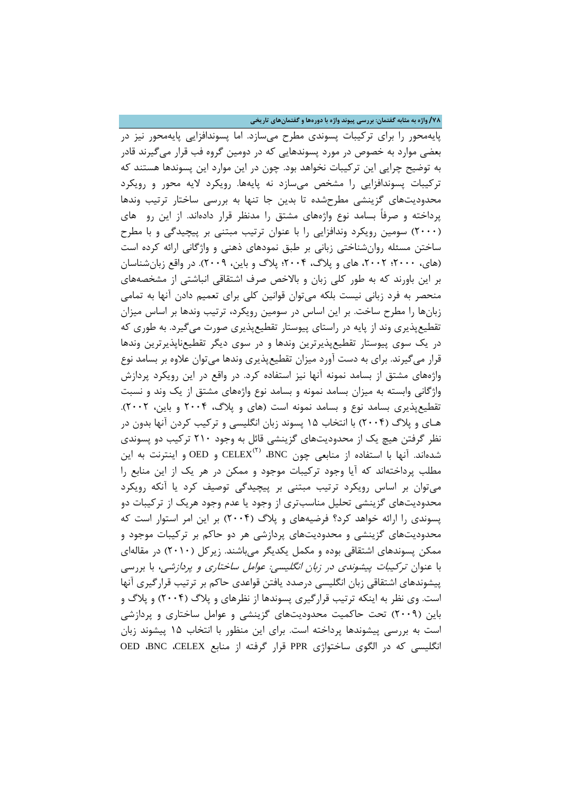**/78 واژه به مثابه گفتمان: بررسی پیوند واژه با دورهها و گفتمانهاي تاریخی**

پایهمحور را براي ترکیبات پسوندي مطرح میسازد. اما پسوندافزایی پایهمحور نیز در بعضی موارد به خصوص در مورد پسوندهایی که در دومین گروه فب قرار میگیرند قادر به توضیح چرایی این ترکیبات نخواهد بود. چون در این موارد این پسوندها هستند که ترکیبات پسوندافزایی را مشخص میسازد نه پایهها. رویکرد لایه محور و رویکرد محدودیتهاي گزینشی مطرحشده تا بدین جا تنها به بررسی ساختار ترتیب وندها پرداخته و صرفاً بسامد نوع واژههاي مشتق را مدنظر قرار دادهاند. از این رو هاي (2000) سومین رویکرد وندافزایی را با عنوان ترتیب مبتنی بر پیچیدگی و با مطرح ساختن مسئله روانشناختی زبانی بر طبق نمودهاي ذهنی و واژگانی ارائه کرده است (هاي، ٢٠٠٢؛ ٢٠٠٢، هاي و پلاگ، ٢٠٠۴؛ پلاگ و باين، ٢٠٠٩). در واقع زبان شناسان بر این باورند که به طور کلی زبان و بالاخص صرف اشتقاقی انباشتی از مشخصههاي منحصر به فرد زبانی نیست بلکه میتوان قوانین کلی براي تعمیم دادن آنها به تمامی زبانها را مطرح ساخت. بر این اساس در سومین رویکرد، ترتیب وندها بر اساس میزان تقطیعپذیري وند از پایه در راستاي پیوستار تقطیعپذیري صورت میگیرد. به طوري که در یک سوي پیوستار تقطیعپذیرترین وندها و در سوي دیگر تقطیعناپذیرترین وندها قرار میگیرند. براي به دست آورد میزان تقطیعپذیري وندها میتوان علاوه بر بسامد نوع واژههاي مشتق از بسامد نمونه آنها نیز استفاده کرد. در واقع در این رویکرد پردازش واژگانی وابسته به میزان بسامد نمونه و بسامد نوع واژههاي مشتق از یک وند و نسبت تقطیعپذیري بسامد نوع و بسامد نمونه است (هاي و پلاگ، 2004 و باین، 2002). هـاي و پلاگ (2004) با انتخاب 15 پسوند زبان انگلیسی و ترکیب کردن آنها بدون در نظر گرفتن هیچ یک از محدودیتهاي گزینشی قائل به وجود 210 ترکیب دو پسوندي  $\mathrm{CED}_1$  شدهاند. آنها با استفاده از منابعی چون BNC، BNC، و OED و اینترنت به این مطلب پرداختهاند که آیا وجود ترکیبات موجود و ممکن در هر یک از این منابع را میتوان بر اساس رویکرد ترتیب مبتنی بر پیچیدگی توصیف کرد یا آنکه رویکرد محدودیتهاي گزینشی تحلیل مناسبتري از وجود یا عدم وجود هریک از ترکیبات دو پسوندي را ارائه خواهد کرد؟ فرضیههاي و پلاگ (2004) بر این امر استوار است که محدودیتهاي گزینشی و محدودیتهاي پردازشی هر دو حاکم بر ترکیبات موجود و ممکن پسوندهاي اشتقاقی بوده و مکمل یکدیگر میباشند. زیرکل (2010) در مقالهاي با عنوان ترکیبات پیشوندي در زبان انگلیسی: عوامل ساختاري و پردازشی، با بررسی پیشوندهاي اشتقاقی زبان انگلیسی درصدد یافتن قواعدي حاکم بر ترتیب قرارگیري آنها است. وي نظر به اینکه ترتیب قرارگیري پسوندها از نظرهاي و پلاگ (2004) و پلاگ و باین (2009) تحت حاکمیت محدودیتهاي گزینشی و عوامل ساختاري و پردازشی است به بررسی پیشوندها پرداخته است. براي این منظور با انتخاب 15 پیشوند زبان انگلیسی که در الگوي ساختواژي PPR قرار گرفته از منابع CELEX، BNC، OED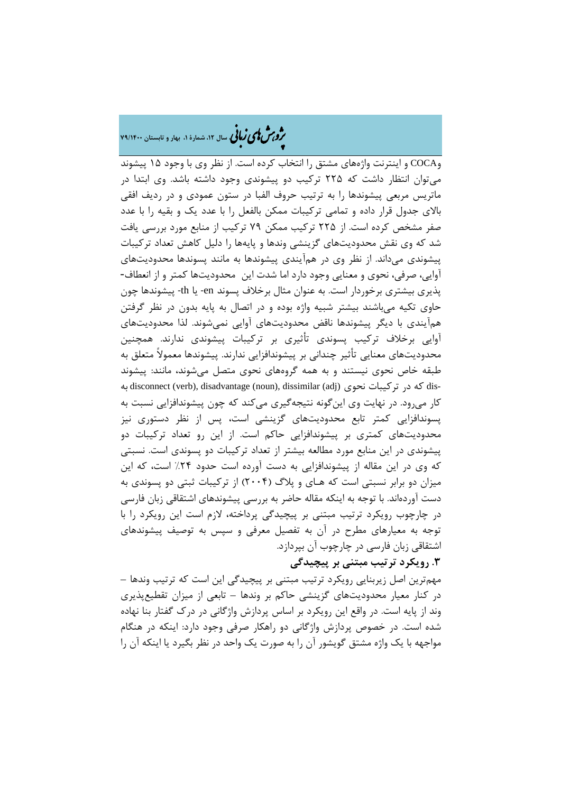## ه م**شمل استان ۱۴۰۰ و تابستان ۲۹/۱۴۰۰**<br>م**روب<sup>من ب</sup>ای دریافی** سال ۱۲، شمارهٔ ۱، بهار و تابستان ۷۹/۱۴۰۰

وCOCA و اینترنت واژههاي مشتق را انتخاب کرده است. از نظر وي با وجود 15 پیشوند میتوان انتظار داشت که 225 ترکیب دو پیشوندي وجود داشته باشد. وي ابتدا در ماتریس مربعی پیشوندها را به ترتیب حروف الفبا در ستون عمودي و در ردیف افقی بالاي جدول قرار داده و تمامی ترکیبات ممکن بالفعل را با عدد یک و بقیه را با عدد صفر مشخص کرده است. از 225 ترکیب ممکن 79 ترکیب از منابع مورد بررسی یافت شد که وي نقش محدودیتهاي گزینشی وندها و پایهها را دلیل کاهش تعداد ترکیبات پیشوندي میداند. از نظر وي در همآیندي پیشوندها به مانند پسوندها محدودیتهاي آوایی، صرفی، نحوي و معنایی وجود دارد اما شدت این محدودیتها کمتر و از انعطاف- پذیري بیشتري برخوردار است. به عنوان مثال برخلاف پسوند en- یا th- پیشوندها چون حاوي تکیه میباشند بیشتر شبیه واژه بوده و در اتصال به پایه بدون در نظر گرفتن همآیندي با دیگر پیشوندها ناقض محدودیتهاي آوایی نمیشوند. لذا محدودیتهاي آوایی برخلاف ترکیب پسوندي تأثیري بر ترکیبات پیشوندي ندارند. همچنین محدودیتهاي معنایی تأثیر چندانی بر پیشوندافزایی ندارند. پیشوندها معمولاً متعلق به طبقه خاص نحوي نیستند و به همه گروههاي نحوي متصل میشوند، مانند: پیشوند به disconnect (verb), disadvantage (noun), dissimilar (adj) نحوي ترکیبات در که dis- کار می رود. در نهایت وي اینگونه نتیجهگیري می کند که چون پیشوندافزایی نسبت به پسوندافزایی کمتر تابع محدودیتهاي گزینشی است، پس از نظر دستوري نیز محدودیتهاي کمتري بر پیشوندافزایی حاکم است. از این رو تعداد ترکیبات دو پیشوندي در این منابع مورد مطالعه بیشتر از تعداد ترکیبات دو پسوندي است. نسبتی که وي در این مقاله از پیشوندافزایی به دست آورده است حدود %24 است، که این میزان دو برابر نسبتی است که هـاي و پلاگ (2004) از ترکیبات ثبتی دو پسوندي به دست آوردهاند. با توجه به اینکه مقاله حاضر به بررسی پیشوندهاي اشتقاقی زبان فارسی در چارچوب رویکرد ترتیب مبتنی بر پیچیدگی پرداخته، لازم است این رویکرد را با توجه به معیارهاي مطرح در آن به تفصیل معرفی و سپس به توصیف پیشوندهاي اشتقاقی زبان فارسی در چارچوب آن بپردازد.

### **.3 رویکرد ترتیب مبتنی بر پیچیدگی**

مهمترین اصل زیربنایی رویکرد ترتیب مبتنی بر پیچیدگی این است که ترتیب وندها – در کنار معیار محدودیتهاي گزینشی حاکم بر وندها – تابعی از میزان تقطیعپذیري وند از پایه است. در واقع این رویکرد بر اساس پردازش واژگانی در درك گفتار بنا نهاده شده است. در خصوص پردازش واژگانی دو راهکار صرفی وجود دارد: اینکه در هنگام مواجهه با یک واژه مشتق گویشور آن را به صورت یک واحد در نظر بگیرد یا اینکه آن را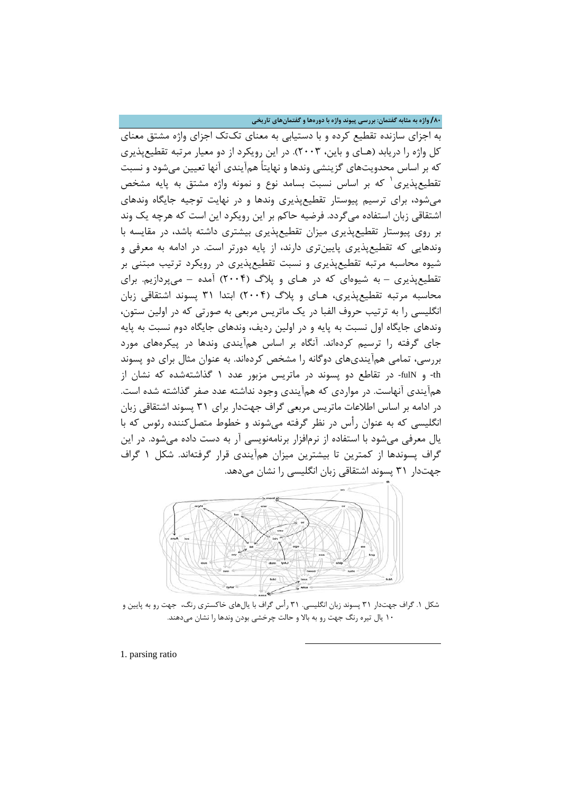**/80 واژه به مثابه گفتمان: بررسی پیوند واژه با دورهها و گفتمانهاي تاریخی**

به اجزاي سازنده تقطیع کرده و با دستیابی به معناي تکتک اجزاي واژه مشتق معناي کل واژه را دریابد (هـاي و باین، 2003). در این رویکرد از دو معیار مرتبه تقطیعپذیري که بر اساس محدویتهاي گزینشی وندها و نهایتاً همآیندي آنها تعیین میشود و نسبت تقطیع پذیری <sup>۱</sup> که بر اساس نسبت بسامد نوع و نمونه واژه مشتق به پایه مشخص میشود، براي ترسیم پیوستار تقطیعپذیري وندها و در نهایت توجیه جایگاه وندهاي اشتقاقی زبان استفاده میگردد. فرضیه حاکم بر این رویکرد این است که هرچه یک وند بر روي پیوستار تقطیعپذیري میزان تقطیعپذیري بیشتري داشته باشد، در مقایسه با وندهایی که تقطیعپذیري پایینتري دارند، از پایه دورتر است. در ادامه به معرفی و شیوه محاسبه مرتبه تقطیعپذیري و نسبت تقطیعپذیري در رویکرد ترتیب مبتنی بر تقطیعپذیري – به شیوهاي که در هـاي و پلاگ (2004) آمده – میپردازیم. براي محاسبه مرتبه تقطیعپذیري، هـاي و پلاگ (2004) ابتدا 31 پسوند اشتقاقی زبان انگلیسی را به ترتیب حروف الفبا در یک ماتریس مربعی به صورتی که در اولین ستون، وندهاي جایگاه اول نسبت به پایه و در اولین ردیف، وندهاي جایگاه دوم نسبت به پایه جاي گرفته را ترسیم کردهاند. آنگاه بر اساس همآیندي وندها در پیکرههاي مورد بررسی، تمامی همآینديهاي دوگانه را مشخص کردهاند. به عنوان مثال براي دو پسوند th- و fulN- در تقاطع دو پسوند در ماتریس مزبور عدد 1 گذاشتهشده که نشان از همآیندي آنهاست. در مواردي که همآیندي وجود نداشته عدد صفر گذاشته شده است. در ادامه بر اساس اطلاعات ماتریس مربعی گراف جهتدار براي 31 پسوند اشتقاقی زبان انگلیسی که به عنوان رأس در نظر گرفته میشوند و خطوط متصلکننده رئوس که با یال معرفی میشود با استفاده از نرمافزار برنامهنویسی آر به دست داده میشود. در این گراف پسوندها از کمترین تا بیشترین میزان همآیندي قرار گرفتهاند. شکل 1 گراف جهتدار 31 پسوند اشتقاقی زبان انگلیسی را نشان میدهد.



شکل .1 گراف جهتدار 31 پسوند زبان انگلیسی. 31 رأس گراف با یالهاي خاکستري رنگ، جهت رو به پایین و 10 یال تیره رنگ جهت رو به بالا و حالت چرخشی بودن وندها را نشان میدهند.

**.** 

<span id="page-9-0"></span>1. parsing ratio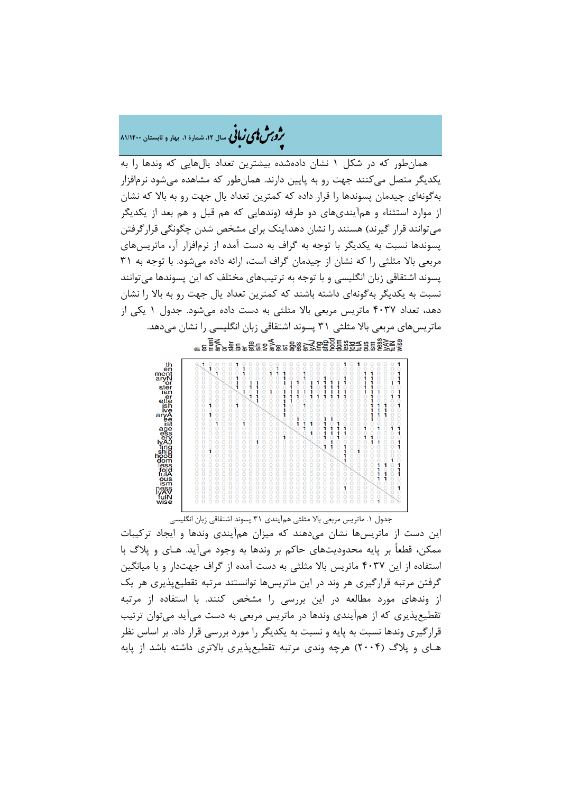�ی زبا **، سال ،12 شمارة ،1 بهار و تابستان 81/1400** � �و ی �ش

همانطور که در شکل 1 نشان دادهشده بیشترین تعداد یالهایی که وندها را به یکدیگر متصل میکنند جهت رو به پایین دارند. همانطور که مشاهده میشود نرمافزار بهگونهاي چیدمان پسوندها را قرار داده که کمترین تعداد یال جهت رو به بالا که نشان از موارد استثناء و همآینديهاي دو طرفه (وندهایی که هم قبل و هم بعد از یکدیگر میتوانند قرار گیرند) هستند را نشان دهد.اینک براي مشخص شدن چگونگی قرارگرفتن پسوندها نسبت به یکدیگر با توجه به گراف به دست آمده از نرمافزار آر، ماتریسهاي مربعی بالا مثلثی را که نشان از چیدمان گراف است، ارائه داده میشود. با توجه به 31 پسوند اشتقاقی زبان انگلیسی و با توجه به ترتیبهاي مختلف که این پسوندها میتوانند نسبت به یکدیگر بهگونهاي داشته باشند که کمترین تعداد یال جهت رو به بالا را نشان دهد، تعداد 4037 ماتریس مربعی بالا مثلثی به دست داده میشود. جدول 1 یکی از ماتریسهای مربعی بالا مثلثی ۳۱ پسوند اشتقاقی زبان انگلیسی را نشان میدهد.



جدول .1 ماتریس مربعی بالا مثلثی همآیندي 31 پسوند اشتقاقی زبان انگلیسی این دست از ماتریسها نشان میدهند که میزان همآیندي وندها و ایجاد ترکیبات ممکن، قطعاً بر پایه محدودیتهاي حاکم بر وندها به وجود میآید. هـاي و پلاگ با استفاده از این 4037 ماتریس بالا مثلثی به دست آمده از گراف جهتدار و با میانگین گرفتن مرتبه قرارگیري هر وند در این ماتریسها توانستند مرتبه تقطیعپذیري هر یک از وندهاي مورد مطالعه در این بررسی را مشخص کنند. با استفاده از مرتبه تقطیعپذیري که از همآیندي وندها در ماتریس مربعی به دست میآید میتوان ترتیب قرارگیري وندها نسبت به پایه و نسبت به یکدیگر را مورد بررسی قرار داد. بر اساس نظر هـاي و پلاگ (2004) هرچه وندي مرتبه تقطیعپذیري بالاتري داشته باشد از پایه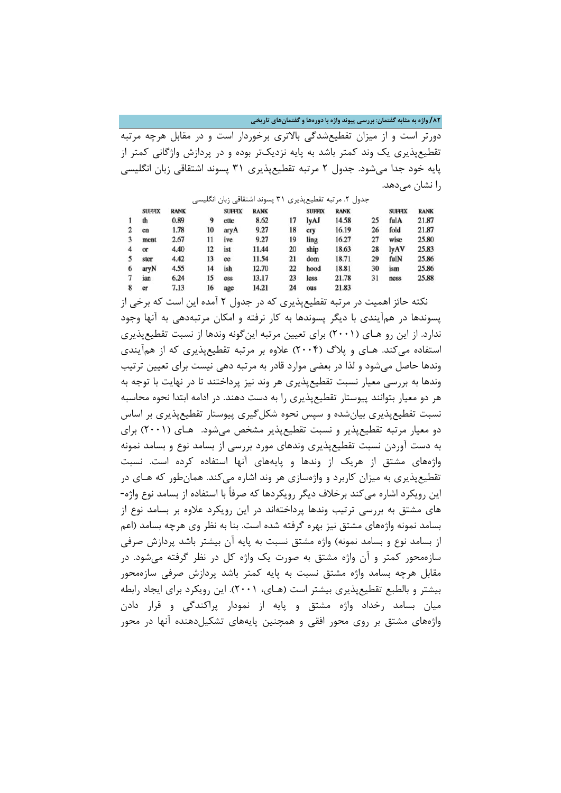**/82 واژه به مثابه گفتمان: بررسی پیوند واژه با دورهها و گفتمانهاي تاریخی**

دورتر است و از میزان تقطیعشدگی بالاتري برخوردار است و در مقابل هرچه مرتبه تقطیعپذیري یک وند کمتر باشد به پایه نزدیکتر بوده و در پردازش واژگانی کمتر از پایه خود جدا میشود. جدول 2 مرتبه تقطیعپذیري 31 پسوند اشتقاقی زبان انگلیسی را نشان میدهد.

|   |               |             |    |               | جدول ۲. مرتبه تقطیعپذیری ۳۱ پسوند اشتقاقی زبان انگلیسی |    |               |             |    |               |             |
|---|---------------|-------------|----|---------------|--------------------------------------------------------|----|---------------|-------------|----|---------------|-------------|
|   | <b>SUFFIX</b> | <b>RANK</b> |    | <b>SUFFIX</b> | <b>RANK</b>                                            |    | <b>SUFFIX</b> | <b>RANK</b> |    | <b>SUFFIX</b> | <b>RANK</b> |
|   | th            | 0.89        | 9  | ette          | 8.62                                                   | 17 | lyAJ          | 14.58       | 25 | fulA          | 21.87       |
|   | en            | 1.78        | 10 | aryA          | 9.27                                                   | 18 | cry           | 16.19       | 26 | fold          | 21.87       |
|   | ment          | 2.67        | 11 | ive           | 9.27                                                   | 19 | ling          | 16.27       | 27 | wise          | 25.80       |
|   | $\alpha$      | 4.40        | 12 | ist           | 11.44                                                  | 20 | ship          | 18.63       | 28 | lyAV          | 25.83       |
|   | ster          | 4.42        | 13 | ee            | 11.54                                                  | 21 | dom           | 18.71       | 29 | fulN          | 25.86       |
| 6 | aryN          | 4.55        | 14 | ish           | 12.70                                                  | 22 | hood          | 18.81       | 30 | ism           | 25.86       |
|   | ian           | 6.24        | 15 | css           | 13.17                                                  | 23 | less          | 21.78       | 31 | ness          | 25.88       |
| 8 | er            | 7.13        | 16 | age           | 14.21                                                  | 24 | ous           | 21.83       |    |               |             |

نکته حائز اهمیت در مرتبه تقطیعپذیري که در جدول 2 آمده این است که برخی از پسوندها در همآیندي با دیگر پسوندها به کار نرفته و امکان مرتبهدهی به آنها وجود ندارد. از این رو هـاي (2001) براي تعیین مرتبه اینگونه وندها از نسبت تقطیعپذیري استفاده میکند. هـاي و پلاگ (2004) علاوه بر مرتبه تقطیعپذیري که از همآیندي وندها حاصل میشود و لذا در بعضی موارد قادر به مرتبه دهی نیست براي تعیین ترتیب وندها به بررسی معیار نسبت تقطیعپذیري هر وند نیز پرداختند تا در نهایت با توجه به هر دو معیار بتوانند پیوستار تقطیعپذیري را به دست دهند. در ادامه ابتدا نحوه محاسبه نسبت تقطیعپذیري بیانشده و سپس نحوه شکلگیري پیوستار تقطیعپذیري بر اساس دو معیار مرتبه تقطیعپذیر و نسبت تقطیعپذیر مشخص میشود. هـاي (2001) براي به دست آوردن نسبت تقطیعپذیري وندهاي مورد بررسی از بسامد نوع و بسامد نمونه واژههاي مشتق از هریک از وندها و پایههاي آنها استفاده کرده است. نسبت تقطیعپذیري به میزان کاربرد و واژهسازي هر وند اشاره میکند. همانطور که هـاي در این رویکرد اشاره میکند برخلاف دیگر رویکردها که صرفاً با استفاده از بسامد نوع واژه- هاي مشتق به بررسی ترتیب وندها پرداختهاند در این رویکرد علاوه بر بسامد نوع از بسامد نمونه واژههاي مشتق نیز بهره گرفته شده است. بنا به نظر وي هرچه بسامد (اعم از بسامد نوع و بسامد نمونه) واژه مشتق نسبت به پایه آن بیشتر باشد پردازش صرفی سازهمحور کمتر و آن واژه مشتق به صورت یک واژه کل در نظر گرفته میشود. در مقابل هرچه بسامد واژه مشتق نسبت به پایه کمتر باشد پردازش صرفی سازهمحور بیشتر و بالطبع تقطیعپذیري بیشتر است (هـاي، 2001). این رویکرد براي ایجاد رابطه میان بسامد رخداد واژه مشتق و پایه از نمودار پراکندگی و قرار دادن واژههاي مشتق بر روي محور افقی و همچنین پایههاي تشکیلدهنده آنها در محور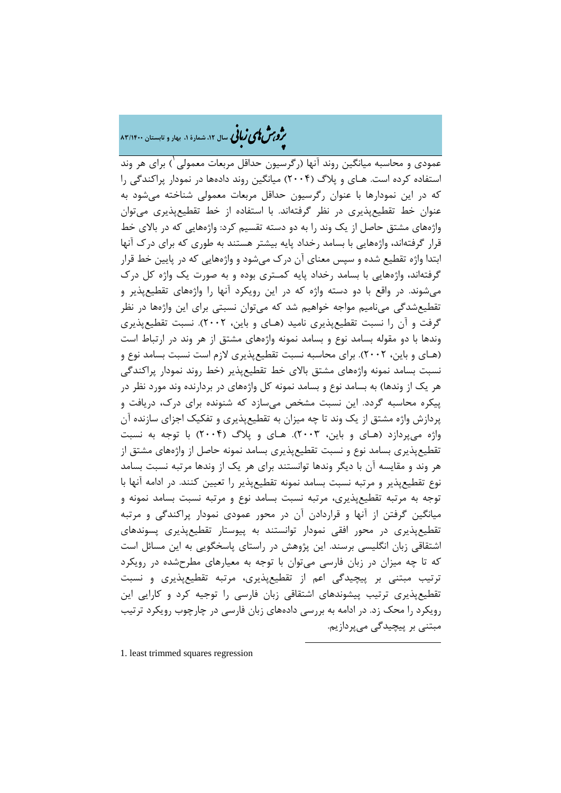# ه م**شملی زبانی** سال ۱۲، شمارهٔ ۱، بهار و تابستان ۸۳/۱۴۰۰

عمودي و محاسبه میانگین روند آنها (رگرسیون حداقل مربعات معمولی ) براي هر وند <sup>1</sup> استفاده کرده است. هـاي و پلاگ (2004) میانگین روند دادهها در نمودار پراکندگی را که در این نمودارها با عنوان رگرسیون حداقل مربعات معمولی شناخته میشود به عنوان خط تقطیعپذیري در نظر گرفتهاند. با استفاده از خط تقطیعپذیري میتوان واژههاي مشتق حاصل از یک وند را به دو دسته تقسیم کرد: واژههایی که در بالاي خط قرار گرفتهاند، واژههایی با بسامد رخداد پایه بیشتر هستند به طوري که براي درك آنها ابتدا واژه تقطیع شده و سپس معناي آن درك میشود و واژههایی که در پایین خط قرار گرفتهاند، واژههایی با بسامد رخداد پایه کمـتري بوده و به صورت یک واژه کل درك میشوند. در واقع با دو دسته واژه که در این رویکرد آنها را واژههاي تقطیعپذیر و تقطیعشدگی مینامیم مواجه خواهیم شد که میتوان نسبتی براي این واژهها در نظر گرفت و آن را نسبت تقطیعپذیري نامید (هـاي و باین، 2002). نسبت تقطیعپذیري وندها با دو مقوله بسامد نوع و بسامد نمونه واژههاي مشتق از هر وند در ارتباط است (هـاي و باین، 2002). براي محاسبه نسبت تقطیعپذیري لازم است نسبت بسامد نوع و نسبت بسامد نمونه واژههاي مشتق بالاي خط تقطیعپذیر (خط روند نمودار پراکندگی هر یک از وندها) به بسامد نوع و بسامد نمونه کل واژههاي در بردارنده وند مورد نظر در پیکره محاسبه گردد. این نسبت مشخص میسازد که شنونده براي درك، دریافت و پردازش واژه مشتق از یک وند تا چه میزان به تقطیعپذیري و تفکیک اجزاي سازنده آن واژه میپردازد (هـاي و باین، 2003). هـاي و پلاگ (2004) با توجه به نسبت تقطیعپذیري بسامد نوع و نسبت تقطیعپذیري بسامد نمونه حاصل از واژههاي مشتق از هر وند و مقایسه آن با دیگر وندها توانستند براي هر یک از وندها مرتبه نسبت بسامد نوع تقطیعپذیر و مرتبه نسبت بسامد نمونه تقطیعپذیر را تعیین کنند. در ادامه آنها با توجه به مرتبه تقطیعپذیري، مرتبه نسبت بسامد نوع و مرتبه نسبت بسامد نمونه و میانگین گرفتن از آنها و قراردادن آن در محور عمودي نمودار پراکندگی و مرتبه تقطیعپذیري در محور افقی نمودار توانستند به پیوستار تقطیعپذیري پسوندهاي اشتقاقی زبان انگلیسی برسند. این پژوهش در راستاي پاسخگویی به این مسائل است که تا چه میزان در زبان فارسی میتوان با توجه به معیارهاي مطرحشده در رویکرد ترتیب مبتنی بر پیچیدگی اعم از تقطیعپذیري، مرتبه تقطیعپذیري و نسبت تقطیعپذیري ترتیب پیشوندهاي اشتقاقی زبان فارسی را توجیه کرد و کارایی این رویکرد را محک زد. در ادامه به بررسی دادههاي زبان فارسی در چارچوب رویکرد ترتیب مبتنی بر پیچیدگی میپردازیم.

 $\overline{a}$ 

<span id="page-12-0"></span>[1.](#page-12-0) least trimmed squares regression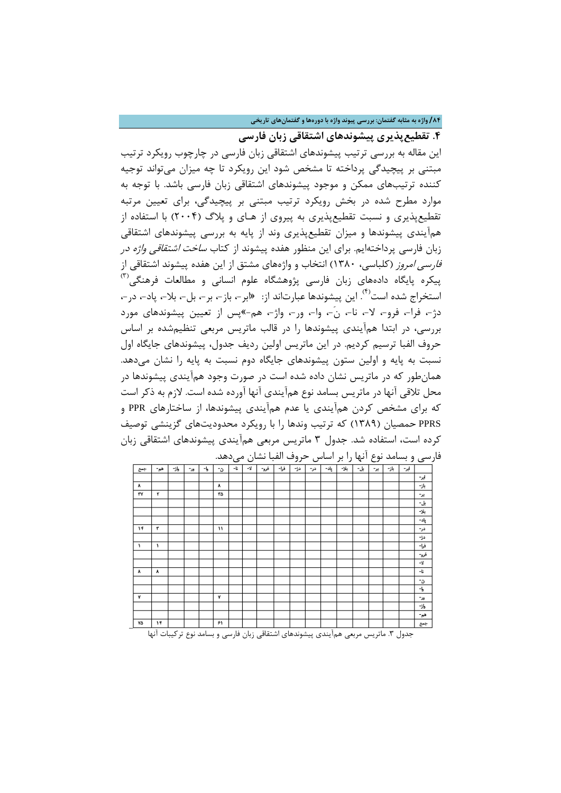### **/84 واژه به مثابه گفتمان: بررسی پیوند واژه با دورهها و گفتمانهاي تاریخی**

**.4 تقطیعپذیري پیشوندهاي اشتقاقی زبان فارسی**

این مقاله به بررسی ترتیب پیشوندهاي اشتقاقی زبان فارسی در چارچوب رویکرد ترتیب مبتنی بر پیچیدگی پرداخته تا مشخص شود این رویکرد تا چه میزان میتواند توجیه کننده ترتیبهاي ممکن و موجود پیشوندهاي اشتقاقی زبان فارسی باشد. با توجه به موارد مطرح شده در بخش رویکرد ترتیب مبتنی بر پیچیدگی، براي تعیین مرتبه تقطیعپذیري و نسبت تقطیعپذیري به پیروي از هـاي و پلاگ (2004) با استفاده از همآیندي پیشوندها و میزان تقطیعپذیري وند از پایه به بررسی پیشوندهاي اشتقاقی زبان فارسی پرداختهایم. براي این منظور هفده پیشوند از کتاب ساخت اشتقاقی واژه در فارسی امروز (کلباسی، 1380) انتخاب و واژههاي مشتق از این هفده پیشوند اشتقاقی از (3) پیکره پایگاه دادههاي زبان فارسی پژوهشگاه علوم انسانی و مطالعات فرهنگی استخراج شده است<sup>(۴)</sup>. این پیشوندها عبارتاند از: 《ابر-، باز-، بر-، بل-، بلا-، پاد-، در -، دژ،- فرا،- فرو،- لا،- نا،- ن،-َ وا،- ور،- واژ،- هم-»پس از تعیین پیشوندهاي مورد بررسی، در ابتدا همآیندي پیشوندها را در قالب ماتریس مربعی تنظیمشده بر اساس حروف الفبا ترسیم کردیم. در این ماتریس اولین ردیف جدول، پیشوندهاي جایگاه اول نسبت به پایه و اولین ستون پیشوندهای جایگاه دوم نسبت به پایه را نشان می دهد. همانطور که در ماتریس نشان داده شده است در صورت وجود همآیندي پیشوندها در محل تلاقی آنها در ماتریس بسامد نوع همآیندي آنها آورده شده است. لازم به ذکر است که براي مشخص کردن همآیندي یا عدم همآیندي پیشوندها، از ساختارهاي PPR و PPRS حمصیان (1389) که ترتیب وندها را با رویکرد محدودیتهاي گزینشی توصیف کرده است، استفاده شد. جدول 3 ماتریس مربعی همآیندي پیشوندهاي اشتقاقی زبان فارسی و بسامد نوع آنها را بر اساس حروف الفبا نشان میدهد.

|     |     |      |     |    |    |    |    | را بر اساس حروب انعبا نسان میںبعث. |      |     |     |      |      |     |     |      |      | رسی و بساسه نوح آنها |
|-----|-----|------|-----|----|----|----|----|------------------------------------|------|-----|-----|------|------|-----|-----|------|------|----------------------|
| جسج | هم- | واژ− | -35 | -5 | ٥. | -6 | -4 | فرو-                               | فرا- | دۋ– | در- | پاد- | بلا- | يل- | یر- | باز- | اپر- |                      |
|     |     |      |     |    |    |    |    |                                    |      |     |     |      |      |     |     |      |      | ابر-                 |
| ٨   |     |      |     |    | ٨  |    |    |                                    |      |     |     |      |      |     |     |      |      | باز-                 |
| ٣٧  | ۳   |      |     |    | ۳Δ |    |    |                                    |      |     |     |      |      |     |     |      |      | ير-                  |
|     |     |      |     |    |    |    |    |                                    |      |     |     |      |      |     |     |      |      | يل-                  |
|     |     |      |     |    |    |    |    |                                    |      |     |     |      |      |     |     |      |      | بلا-                 |
|     |     |      |     |    |    |    |    |                                    |      |     |     |      |      |     |     |      |      | پاد-                 |
| ۱۴  | ۳   |      |     |    | ١١ |    |    |                                    |      |     |     |      |      |     |     |      |      | در-                  |
|     |     |      |     |    |    |    |    |                                    |      |     |     |      |      |     |     |      |      | -34                  |
| ١   | ١   |      |     |    |    |    |    |                                    |      |     |     |      |      |     |     |      |      | فرا-                 |
|     |     |      |     |    |    |    |    |                                    |      |     |     |      |      |     |     |      |      | فرو-                 |
|     |     |      |     |    |    |    |    |                                    |      |     |     |      |      |     |     |      |      | -4                   |
| ٨   | ٨   |      |     |    |    |    |    |                                    |      |     |     |      |      |     |     |      |      | -l:                  |
|     |     |      |     |    |    |    |    |                                    |      |     |     |      |      |     |     |      |      | -0                   |
|     |     |      |     |    |    |    |    |                                    |      |     |     |      |      |     |     |      |      | -5                   |
| ٧   |     |      |     |    | ٧  |    |    |                                    |      |     |     |      |      |     |     |      |      | $-35$                |
|     |     |      |     |    |    |    |    |                                    |      |     |     |      |      |     |     |      |      | واژ−                 |
|     |     |      |     |    |    |    |    |                                    |      |     |     |      |      |     |     |      |      | هم-                  |
| ۷Δ  | ۱۴  |      |     |    | ۶۱ |    |    |                                    |      |     |     |      |      |     |     |      |      | جعج                  |

جدول ٣. ماتریس مربعی همآیندی پیشوندهای اشتقاقی زبان فارسی و بسامد نوع ترکیبات آنها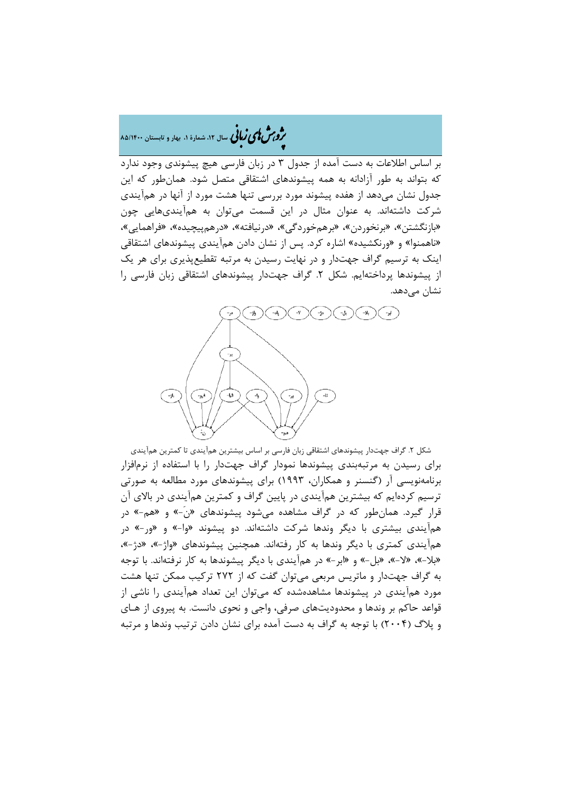# �ی زبا **، سال ،12 شمارة ،1 بهار و تابستان 85/1400** � �و ی �ش

بر اساس اطلاعات به دست آمده از جدول 3 در زبان فارسی هیچ پیشوندي وجود ندارد که بتواند به طور آزادانه به همه پیشوندهاي اشتقاقی متصل شود. همانطور که این جدول نشان میدهد از هفده پیشوند مورد بررسی تنها هشت مورد از آنها در همآیندي شرکت داشتهاند. به عنوان مثال در این قسمت میتوان به همآینديهایی چون «بازنگشتن»، «برنخوردن»، «برهمخوردگی»، «درنیافته»، «درهمپیچیده»، «فراهمایی»، «ناهمنوا» و «ورنکشیده» اشاره کرد. پس از نشان دادن همآیندي پیشوندهاي اشتقاقی اینک به ترسیم گراف جهتدار و در نهایت رسیدن به مرتبه تقطیعپذیري براي هر یک از پیشوندها پرداختهایم. شکل .2 گراف جهتدار پیشوندهاي اشتقاقی زبان فارسی را نشان می،دهد.



شکل .2 گراف جهتدار پیشوندهاي اشتقاقی زبان فارسی بر اساس بیشترین همآیندي تا کمترین همآیندي براي رسیدن به مرتبهبندي پیشوندها نمودار گراف جهتدار را با استفاده از نرمافزار برنامهنویسی آر (گنسنر و همکاران، 1993) براي پیشوندهاي مورد مطالعه به صورتی ترسیم کردهایم که بیشترین همآیندي در پایین گراف و کمترین همآیندي در بالاي آن قرار گیرد. همانطور که در گراف مشاهده میشود پیشوندهاي «ن-َ» و «هم-» در همآیندي بیشتري با دیگر وندها شرکت داشتهاند. دو پیشوند «وا-» و «ور-» در همآیندي کمتري با دیگر وندها به کار رفتهاند. همچنین پیشوندهاي «واژ-»، «دژ-»، «بلا-»، «لا-»، «بل-» و «ابر-» در همآیندي با دیگر پیشوندها به کار نرفتهاند. با توجه به گراف جهتدار و ماتریس مربعی میتوان گفت که از 272 ترکیب ممکن تنها هشت مورد همآیندي در پیشوندها مشاهدهشده که میتوان این تعداد همآیندي را ناشی از قواعد حاکم بر وندها و محدودیتهاي صرفی، واجی و نحوي دانست. به پیروي از هـاي و پلاگ (2004) با توجه به گراف به دست آمده براي نشان دادن ترتیب وندها و مرتبه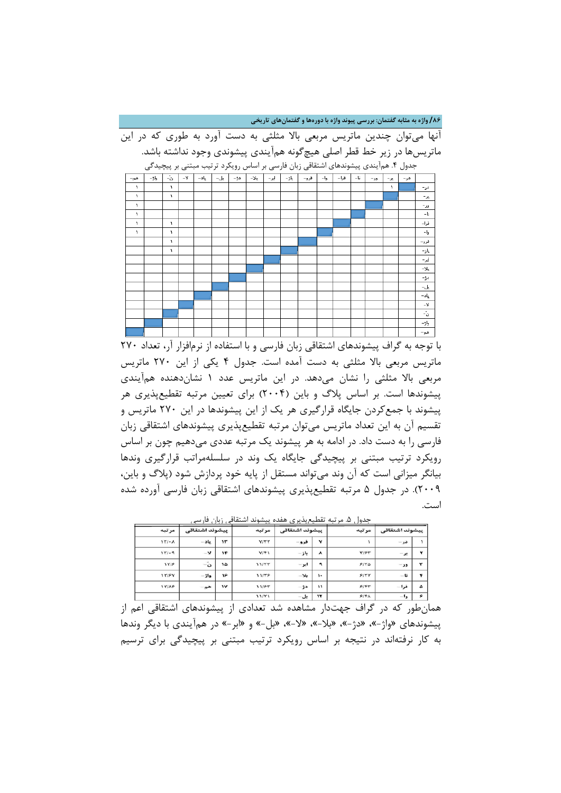**/86 واژه به مثابه گفتمان: بررسی پیوند واژه با دورهها و گفتمانهاي تاریخی**

آنها میتوان چندین ماتریس مربعی بالا مثلثی به دست آورد به طوري که در این ماتریسها در زیر خط قطر اصلی هیچگونه همآیندي پیشوندي وجود نداشته باشد.



با توجه به گراف پیشوندهاي اشتقاقی زبان فارسی و با استفاده از نرمافزار آر، تعداد 270 ماتریس مربعی بالا مثلثی به دست آمده است. جدول 4 یکی از این 270 ماتریس مربعی بالا مثلثی را نشان میدهد. در این ماتریس عدد 1 نشاندهنده همآیندي پیشوندها است. بر اساس پلاگ و باین (2004) براي تعیین مرتبه تقطیعپذیري هر پیشوند با جمعکردن جایگاه قرارگیري هر یک از این پیشوندها در این 270 ماتریس و تقسیم آن به این تعداد ماتریس میتوان مرتبه تقطیعپذیري پیشوندهاي اشتقاقی زبان فارسی را به دست داد. در ادامه به هر پیشوند یک مرتبه عددي میدهیم چون بر اساس رویکرد ترتیب مبتنی بر پیچیدگی جایگاه یک وند در سلسلهمراتب قرارگیري وندها بیانگر میزانی است که آن وند میتواند مستقل از پایه خود پردازش شود (پلاگ و باین، 2009). در جدول 5 مرتبه تقطیعپذیري پیشوندهاي اشتقاقی زبان فارسی آورده شده است.

|   | ييشوند اشتقاقي | مرتبه       |                      | ييشوند اشتقاقي | مرتبه            | ييشوند اشتقاقي | مرتبه         |           |  |
|---|----------------|-------------|----------------------|----------------|------------------|----------------|---------------|-----------|--|
|   |                |             |                      |                |                  |                |               |           |  |
|   | در –           |             | $\mathbf v$          | فرو-           | YITT             | $\mathbf{r}$   | _ باد         | $1Y/-A$   |  |
| ۲ | بر –           | <b>TIFT</b> | ٨                    | باز –          | $Y/\mathfrak{F}$ | ١F             | $\rightarrow$ | $111 - 9$ |  |
| ٣ | $\rightarrow$  | 9140        | ٩                    | ابر -          | 11/55            | ١۵             | تَ            | 1718      |  |
| ۴ | – ს            | 51YY        | $\ddot{\phantom{1}}$ | $-\lambda$     | 11/48            | ۱۶             | واژ -         | 1Y/FY     |  |
| ۵ | فرا-           | 9147        | $\mathbf{v}$         | $-35$          | 11/۶٣            | $\mathsf{v}$   | $-\rho$       | 1Y/AP     |  |
| ۶ | وا -           | 914A        | $\mathbf{v}$         | بل –           | 11/Y1            |                |               |           |  |

جدول .5 مرتبه تقطیعپذیري هفده پیشوند اشتقاقی زبان فارسی

همانطور که در گراف جهتدار مشاهده شد تعدادي از پیشوندهاي اشتقاقی اعم از پیشوندهاي «واژ-»، «دژ-»، «بلا-»، «لا-»، «بل-» و «ابر-» در همآیندي با دیگر وندها به کار نرفتهاند در نتیجه بر اساس رویکرد ترتیب مبتنی بر پیچیدگی براي ترسیم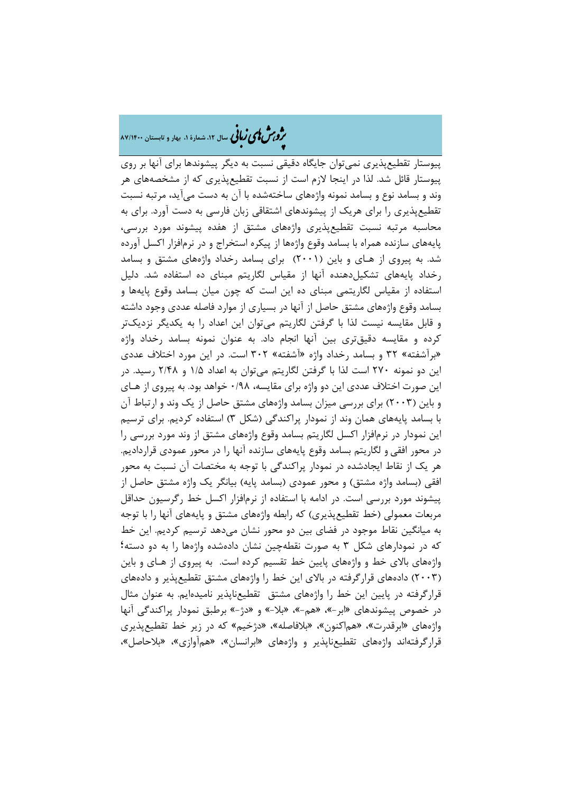# ه م**شملی زبانی** سال ۱۲، شمارهٔ ۱، بهار و تابستان ۸۷/۱۴۰۰

پیوستار تقطیعپذیري نمیتوان جایگاه دقیقی نسبت به دیگر پیشوندها براي آنها بر روي پیوستار قائل شد. لذا در اینجا لازم است از نسبت تقطیعپذیري که از مشخصههاي هر وند و بسامد نوع و بسامد نمونه واژههاي ساختهشده با آن به دست میآید، مرتبه نسبت تقطیعپذیري را براي هریک از پیشوندهاي اشتقاقی زبان فارسی به دست آورد. براي به محاسبه مرتبه نسبت تقطیعپذیري واژههاي مشتق از هفده پیشوند مورد بررسی، پایههاي سازنده همراه با بسامد وقوع واژهها از پیکره استخراج و در نرمافزار اکسل آورده شد. به پیروي از هـاي و باین (2001) براي بسامد رخداد واژههاي مشتق و بسامد رخداد پایههاي تشکیلدهنده آنها از مقیاس لگاریتم مبناي ده استفاده شد. دلیل استفاده از مقیاس لگاریتمی مبناي ده این است که چون میان بسامد وقوع پایهها و بسامد وقوع واژههاي مشتق حاصل از آنها در بسیاري از موارد فاصله عددي وجود داشته و قابل مقایسه نیست لذا با گرفتن لگاریتم میتوان این اعداد را به یکدیگر نزدیکتر کرده و مقایسه دقیقتري بین آنها انجام داد. به عنوان نمونه بسامد رخداد واژه «برآشفته» 32 و بسامد رخداد واژه «آشفته» 302 است. در این مورد اختلاف عددي این دو نمونه 270 است لذا با گرفتن لگاریتم میتوان به اعداد 1/5 و 2/48 رسید. در این صورت اختلاف عددي این دو واژه براي مقایسه، 0/98 خواهد بود. به پیروي از هـاي و باین (2003) براي بررسی میزان بسامد واژههاي مشتق حاصل از یک وند و ارتباط آن با بسامد پایههاي همان وند از نمودار پراکندگی (شکل 3) استفاده کردیم. براي ترسیم این نمودار در نرمافزار اکسل لگاریتم بسامد وقوع واژههاي مشتق از وند مورد بررسی را در محور افقی و لگاریتم بسامد وقوع پایههاي سازنده آنها را در محور عمودي قراردادیم. هر یک از نقاط ایجادشده در نمودار پراکندگی با توجه به مختصات آن نسبت به محور افقی (بسامد واژه مشتق) و محور عمودي (بسامد پایه) بیانگر یک واژه مشتق حاصل از پیشوند مورد بررسی است. در ادامه با استفاده از نرمافزار اکسل خط رگرسیون حداقل مربعات معمولی (خط تقطیعپذیري) که رابطه واژههاي مشتق و پایههاي آنها را با توجه به میانگین نقاط موجود در فضاي بین دو محور نشان میدهد ترسیم کردیم. این خط که در نمودارهاي شکل 3 به صورت نقطهچین نشان دادهشده واژهها را به دو دسته؛ واژههاي بالاي خط و واژههاي پایین خط تقسیم کرده است. به پیروي از هـاي و باین (2003) دادههاي قرارگرفته در بالاي این خط را واژههاي مشتق تقطیعپذیر و دادههاي قرارگرفته در پایین این خط را واژههاي مشتق تقطیعناپذیر نامیدهایم. به عنوان مثال در خصوص پیشوندهاي «ابر-»، «هم-»، «بلا-» و «دژ-» برطبق نمودار پراکندگی آنها واژههاي «ابرقدرت»، «هماکنون»، «بلافاصله»، «دژخیم» که در زیر خط تقطیعپذیري قرارگرفتهاند واژههاي تقطیعناپذیر و واژههاي «ابرانسان»، «همآوازي»، «بلاحاصل»،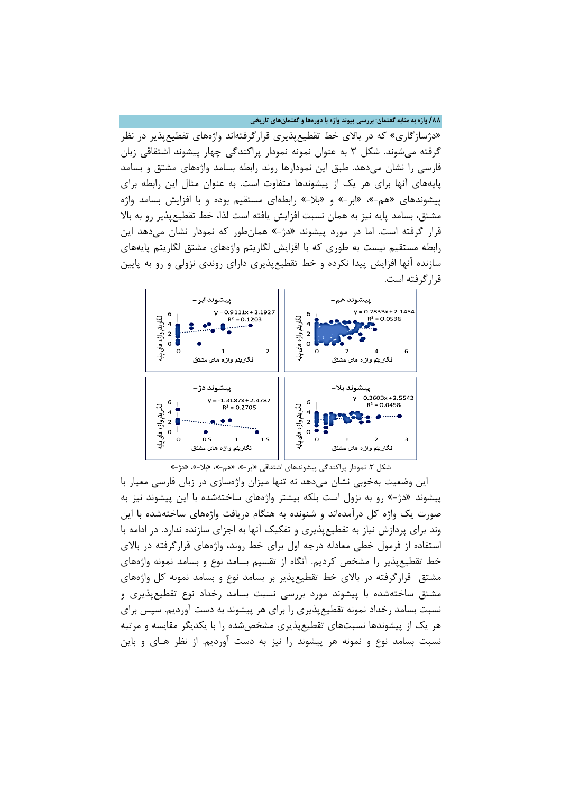**/88 واژه به مثابه گفتمان: بررسی پیوند واژه با دورهها و گفتمانهاي تاریخی**

«دژسازگاري» که در بالاي خط تقطیعپذیري قرارگرفتهاند واژههاي تقطیعپذیر در نظر گرفته میشوند. شکل 3 به عنوان نمونه نمودار پراکندگی چهار پیشوند اشتقاقی زبان فارسی را نشان میدهد. طبق این نمودارها روند رابطه بسامد واژههاي مشتق و بسامد پایههاي آنها براي هر یک از پیشوندها متفاوت است. به عنوان مثال این رابطه براي پیشوندهاي «هم-»، «ابر-» و «بلا-» رابطهاي مستقیم بوده و با افزایش بسامد واژه مشتق، بسامد پایه نیز به همان نسبت افزایش یافته است لذا، خط تقطیعپذیر رو به بالا قرار گرفته است. اما در مورد پیشوند «دژ-» همانطور که نمودار نشان میدهد این رابطه مستقیم نیست به طوري که با افزایش لگاریتم واژههاي مشتق لگاریتم پایههاي سازنده آنها افزایش پیدا نکرده و خط تقطیعپذیري داراي روندي نزولی و رو به پایین قرارگرفته است.



شکل .3 نمودار پراکندگی پیشوندهاي اشتقاقی «ابر-»، «هم-»، «بلا-»، «دژ-»

این وضعیت بهخوبی نشان میدهد نه تنها میزان واژهسازي در زبان فارسی معیار با پیشوند «دژ-» رو به نزول است بلکه بیشتر واژههاي ساختهشده با این پیشوند نیز به صورت یک واژه کل درآمدهاند و شنونده به هنگام دریافت واژههاي ساختهشده با این وند براي پردازش نیاز به تقطیعپذیري و تفکیک آنها به اجزاي سازنده ندارد. در ادامه با استفاده از فرمول خطی معادله درجه اول براي خط روند، واژههاي قرارگرفته در بالاي خط تقطیعپذیر را مشخص کردیم. آنگاه از تقسیم بسامد نوع و بسامد نمونه واژههاي مشتق قرارگرفته در بالاي خط تقطیعپذیر بر بسامد نوع و بسامد نمونه کل واژههاي مشتق ساختهشده با پیشوند مورد بررسی نسبت بسامد رخداد نوع تقطیعپذیري و نسبت بسامد رخداد نمونه تقطیعپذیري را براي هر پیشوند به دست آوردیم. سپس براي هر یک از پیشوندها نسبتهاي تقطیعپذیري مشخصشده را با یکدیگر مقایسه و مرتبه نسبت بسامد نوع و نمونه هر پیشوند را نیز به دست آوردیم. از نظر هـاي و باین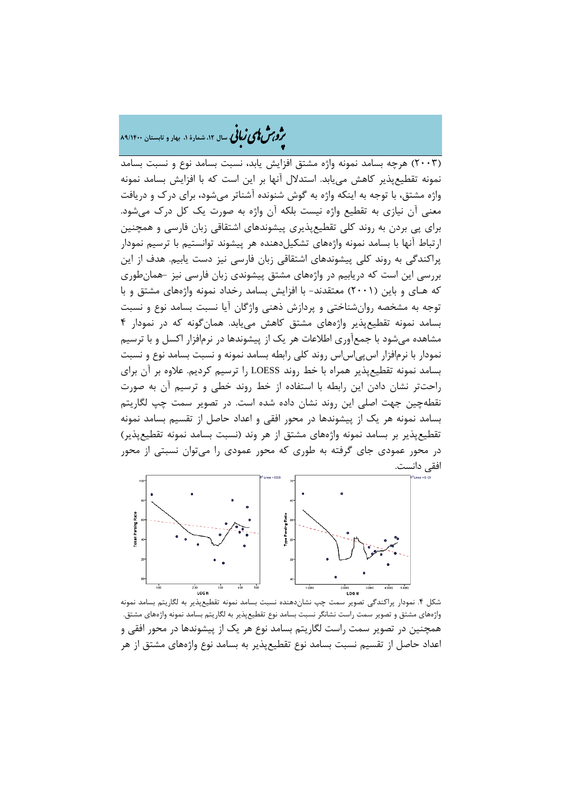�ی زبا **، سال ،12 شمارة ،1 بهار و تابستان 89/1400** � �و ی �ش

(2003) هرچه بسامد نمونه واژه مشتق افزایش یابد، نسبت بسامد نوع و نسبت بسامد نمونه تقطیعپذیر کاهش مییابد. استدلال آنها بر این است که با افزایش بسامد نمونه واژه مشتق، با توجه به اینکه واژه به گوش شنونده آشناتر میشود، براي درك و دریافت معنی آن نیازي به تقطیع واژه نیست بلکه آن واژه به صورت یک کل درك میشود. براي پی بردن به روند کلی تقطیعپذیري پیشوندهاي اشتقاقی زبان فارسی و همچنین ارتباط آنها با بسامد نمونه واژههای تشکیل دهنده هر پیشوند توانستیم با ترسیم نمودار پراکندگی به روند کلی پیشوندهاي اشتقاقی زبان فارسی نیز دست یابیم. هدف از این بررسی این است که دریابیم در واژههاي مشتق پیشوندي زبان فارسی نیز -همانطوري که هـاي و باین (2001) معتقدند- با افزایش بسامد رخداد نمونه واژههاي مشتق و با توجه به مشخصه روانشناختی و پردازش ذهنی واژگان آیا نسبت بسامد نوع و نسبت بسامد نمونه تقطیعپذیر واژههاي مشتق کاهش مییابد. همانگونه که در نمودار 4 مشاهده میشود با جمعآوري اطلاعات هر یک از پیشوندها در نرمافزار اکسل و با ترسیم نمودار با نرمافزار اس پی اس اس روند کلی رابطه بسامد نمونه و نسبت بسامد نوع و نسبت بسامد نمونه تقطیعپذیر همراه با خط روند LOESS را ترسیم کردیم. علاوه بر آن براي راحتتر نشان دادن این رابطه با استفاده از خط روند خطی و ترسیم آن به صورت نقطهچین جهت اصلی این روند نشان داده شده است. در تصویر سمت چپ لگاریتم بسامد نمونه هر یک از پیشوندها در محور افقی و اعداد حاصل از تقسیم بسامد نمونه تقطیعپذیر بر بسامد نمونه واژههاي مشتق از هر وند (نسبت بسامد نمونه تقطیعپذیر) در محور عمودي جاي گرفته به طوري که محور عمودي را میتوان نسبتی از محور افقی دانست.



شکل .4 نمودار پراکندگی تصویر سمت چپ نشاندهنده نسبت بسامد نمونه تقطیعپذیر به لگاریتم بسامد نمونه واژههاي مشتق و تصویر سمت راست نشانگر نسبت بسامد نوع تقطیعپذیر به لگاریتم بسامد نمونه واژههاي مشتق. همچنین در تصویر سمت راست لگاریتم بسامد نوع هر یک از پیشوندها در محور افقی و اعداد حاصل از تقسیم نسبت بسامد نوع تقطیعپذیر به بسامد نوع واژههاي مشتق از هر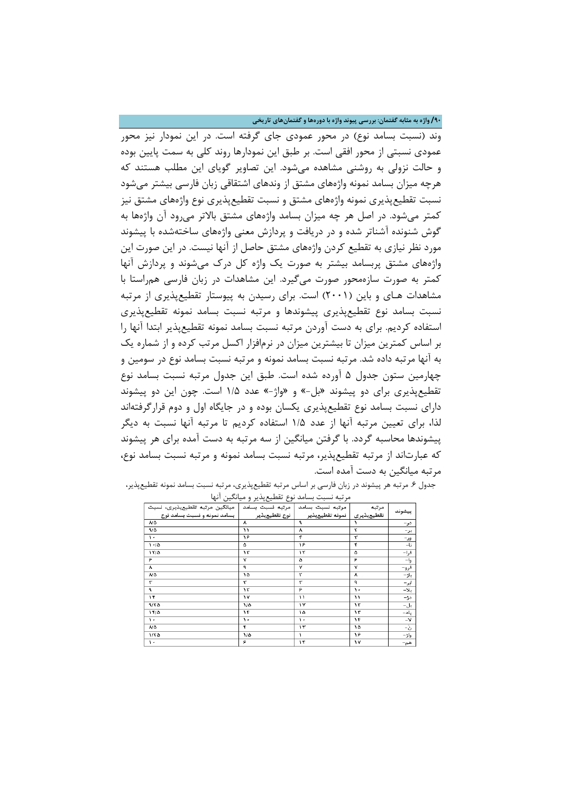**/90 واژه به مثابه گفتمان: بررسی پیوند واژه با دورهها و گفتمانهاي تاریخی**

وند (نسبت بسامد نوع) در محور عمودي جاي گرفته است. در این نمودار نیز محور عمودي نسبتی از محور افقی است. بر طبق این نمودارها روند کلی به سمت پایین بوده و حالت نزولی به روشنی مشاهده میشود. این تصاویر گویاي این مطلب هستند که هرچه میزان بسامد نمونه واژههاي مشتق از وندهاي اشتقاقی زبان فارسی بیشتر میشود نسبت تقطیعپذیري نمونه واژههاي مشتق و نسبت تقطیعپذیري نوع واژههاي مشتق نیز کمتر میشود. در اصل هر چه میزان بسامد واژههاي مشتق بالاتر میرود آن واژهها به گوش شنونده آشناتر شده و در دریافت و پردازش معنی واژههاي ساختهشده با پیشوند مورد نظر نیازي به تقطیع کردن واژههاي مشتق حاصل از آنها نیست. در این صورت این واژههاي مشتق پربسامد بیشتر به صورت یک واژه کل درك میشوند و پردازش آنها کمتر به صورت سازهمحور صورت میگیرد. این مشاهدات در زبان فارسی همراستا با مشاهدات هـاي و باین (2001) است. براي رسیدن به پیوستار تقطیعپذیري از مرتبه نسبت بسامد نوع تقطیعپذیري پیشوندها و مرتبه نسبت بسامد نمونه تقطیعپذیري استفاده کردیم. براي به دست آوردن مرتبه نسبت بسامد نمونه تقطیعپذیر ابتدا آنها را بر اساس کمترین میزان تا بیشترین میزان در نرمافزار اکسل مرتب کرده و از شماره یک به آنها مرتبه داده شد. مرتبه نسبت بسامد نمونه و مرتبه نسبت بسامد نوع در سومین و چهارمین ستون جدول 5 آورده شده است. طبق این جدول مرتبه نسبت بسامد نوع تقطیعپذیري براي دو پیشوند «بل-» و «واژ-» عدد 1/5 است. چون این دو پیشوند داراي نسبت بسامد نوع تقطیعپذیري یکسان بوده و در جایگاه اول و دوم قرارگرفتهاند لذا، براي تعیین مرتبه آنها از عدد 1/5 استفاده کردیم تا مرتبه آنها نسبت به دیگر پیشوندها محاسبه گردد. با گرفتن میانگین از سه مرتبه به دست آمده براي هر پیشوند که عبارتاند از مرتبه تقطیعپذیر، مرتبه نسبت بسامد نمونه و مرتبه نسبت بسامد نوع، مرتبه میانگین به دست آمده است.

| مرتبه نسبت بسامد   مرتبه نسبت بسامد   میانگین مرتبه تقطیعپذیری، نسبت<br>بسامد تعوته و تسبت بسامد توع |                        | مرتبه<br>تقطیعپذیری   نمونه تقطیعپذیر   اوغ تقطیعپذیر<br>و |    | بيشوند       |
|------------------------------------------------------------------------------------------------------|------------------------|------------------------------------------------------------|----|--------------|
| <b>ND</b>                                                                                            | $\boldsymbol{\lambda}$ |                                                            |    | در-          |
| 9/0                                                                                                  | ۱۱                     | ٨                                                          | ۲  | یر-          |
| $\overline{\phantom{a}}$                                                                             | ۱۶                     | ۴                                                          | ۳  | ور-          |
| $1 - 10$                                                                                             | ۵                      | ۱۶                                                         | ۴  | $-t$         |
| 11/6                                                                                                 | ١٣                     | ۱۲                                                         | ۵  | فرا-         |
| ۶                                                                                                    | v                      | ۵                                                          | ۶  | وا–          |
| $\boldsymbol{\lambda}$                                                                               | ٩                      | ٧                                                          | ٧  | فرو–<br>باژ– |
| $\mathcal{N} \Delta$                                                                                 | ۱۵                     | ۲                                                          | ٨  |              |
| ۳                                                                                                    | ۳                      | ۳                                                          | ٩  | ایر-         |
| ٩                                                                                                    | ۱٢                     | ۶                                                          | ٠. | -54          |
| $\overline{1}$                                                                                       | ١٧                     | ۱۱                                                         | ۱١ | $-t$         |
| 4/50                                                                                                 | ۱٬۵                    | ١٧                                                         | ۱۲ | بل-          |
| ۱۴/۵                                                                                                 | ۱۴                     | ١۵                                                         | ١٣ | پاد–         |
| ١.                                                                                                   | ٠.                     | ١.                                                         | ۱۴ | $-\Delta$    |
| ٨Ø                                                                                                   | ۴                      | ۱۳                                                         | ۱۵ | -ప్          |
| ۱٬۲۵                                                                                                 | $1/\Delta$             | ١.                                                         | ۱۶ | واژ-         |
| $\lambda$ .                                                                                          | ۶                      | ۱۴                                                         | ١٧ | هم–          |

جدول ۶. مرتبه هر پیشوند در زبان فارسی بر اساس مرتبه تقطیعپذیری، مرتبه نسبت بسامد نمونه تقطیعپذیر، مرتبه نسبت بسامد نوع تقطیعپذیر و میانگین آنها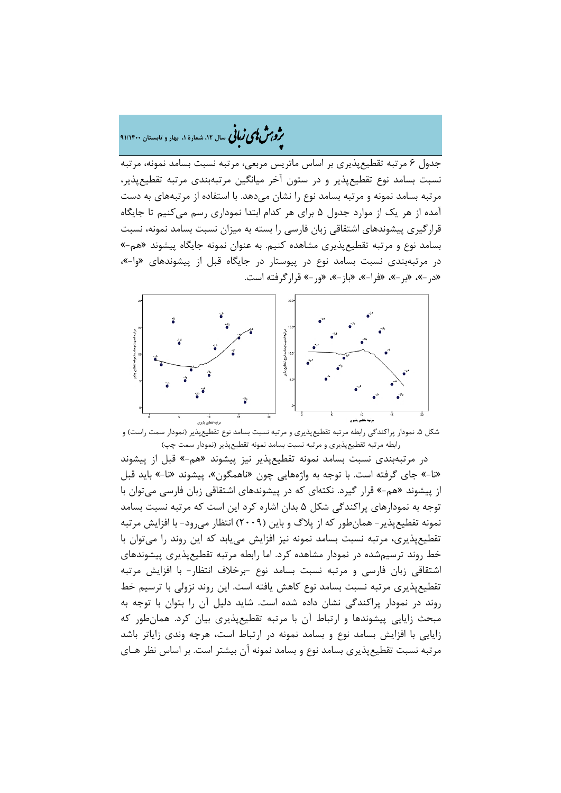## �ی زبا **، سال ،12 شمارة ،1 بهار و تابستان 91/1400** � �و ی �ش

جدول 6 مرتبه تقطیعپذیري بر اساس ماتریس مربعی، مرتبه نسبت بسامد نمونه، مرتبه نسبت بسامد نوع تقطیعپذیر و در ستون آخر میانگین مرتبهبندي مرتبه تقطیعپذیر، مرتبه بسامد نمونه و مرتبه بسامد نوع را نشان میدهد. با استفاده از مرتبههاي به دست آمده از هر یک از موارد جدول 5 براي هر کدام ابتدا نموداري رسم میکنیم تا جایگاه قرارگیري پیشوندهاي اشتقاقی زبان فارسی را بسته به میزان نسبت بسامد نمونه، نسبت بسامد نوع و مرتبه تقطیعپذیري مشاهده کنیم. به عنوان نمونه جایگاه پیشوند «هم-» در مرتبهبندي نسبت بسامد نوع در پیوستار در جایگاه قبل از پیشوندهاي «وا-»، «در-»، «بر-»، «فرا-»، «باز-»، «ور-» قرارگرفته است.



شکل .5 نمودار پراکندگی رابطه مرتبه تقطیعپذیري و مرتبه نسبت بسامد نوع تقطیعپذیر (نمودار سمت راست) و رابطه مرتبه تقطیعپذیري و مرتبه نسبت بسامد نمونه تقطیعپذیر (نمودار سمت چپ)

در مرتبهبندي نسبت بسامد نمونه تقطیعپذیر نیز پیشوند «هم-» قبل از پیشوند «نا-» جاي گرفته است. با توجه به واژههایی چون «ناهمگون»، پیشوند «نا-» باید قبل از پیشوند «هم-» قرار گیرد. نکتهاي که در پیشوندهاي اشتقاقی زبان فارسی میتوان با توجه به نمودارهاي پراکندگی شکل 5 بدان اشاره کرد این است که مرتبه نسبت بسامد نمونه تقطیعپذیر- همانطور که از پلاگ و باین (2009) انتظار میرود- با افزایش مرتبه تقطیعپذیري، مرتبه نسبت بسامد نمونه نیز افزایش مییابد که این روند را میتوان با خط روند ترسیمشده در نمودار مشاهده کرد. اما رابطه مرتبه تقطیعپذیري پیشوندهاي اشتقاقی زبان فارسی و مرتبه نسبت بسامد نوع -برخلاف انتظار- با افزایش مرتبه تقطیعپذیري مرتبه نسبت بسامد نوع کاهش یافته است. این روند نزولی با ترسیم خط روند در نمودار پراکندگی نشان داده شده است. شاید دلیل آن را بتوان با توجه به مبحث زایایی پیشوندها و ارتباط آن با مرتبه تقطیعپذیري بیان کرد. همانطور که زایایی با افزایش بسامد نوع و بسامد نمونه در ارتباط است، هرچه وندي زایاتر باشد مرتبه نسبت تقطیعپذیري بسامد نوع و بسامد نمونه آن بیشتر است. بر اساس نظر هـاي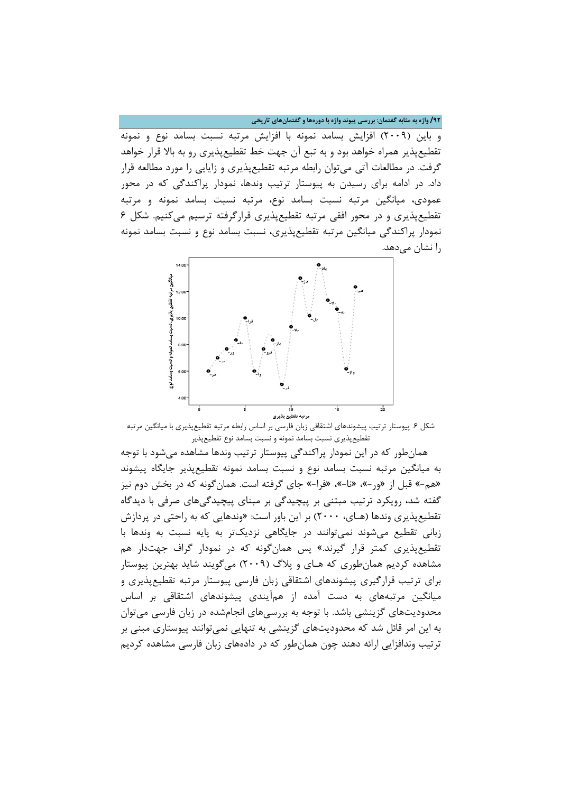**/92 واژه به مثابه گفتمان: بررسی پیوند واژه با دورهها و گفتمانهاي تاریخی**

و باین (2009) افزایش بسامد نمونه با افزایش مرتبه نسبت بسامد نوع و نمونه تقطیعپذیر همراه خواهد بود و به تبع آن جهت خط تقطیعپذیري رو به بالا قرار خواهد گرفت. در مطالعات آتی میتوان رابطه مرتبه تقطیعپذیري و زایایی را مورد مطالعه قرار داد. در ادامه براي رسیدن به پیوستار ترتیب وندها، نمودار پراکندگی که در محور عمودي، میانگین مرتبه نسبت بسامد نوع، مرتبه نسبت بسامد نمونه و مرتبه تقطیعپذیري و در محور افقی مرتبه تقطیعپذیري قرارگرفته ترسیم میکنیم. شکل 6 نمودار پراکندگی میانگین مرتبه تقطیعپذیري، نسبت بسامد نوع و نسبت بسامد نمونه را نشان میدهد.



شکل .6 پیوستار ترتیب پیشوندهاي اشتقاقی زبان فارسی بر اساس رابطه مرتبه تقطیعپذیري با میانگین مرتبه تقطیعپذیري نسبت بسامد نمونه و نسبت بسامد نوع تقطیعپذیر

همانطور که در این نمودار پراکندگی پیوستار ترتیب وندها مشاهده میشود با توجه به میانگین مرتبه نسبت بسامد نوع و نسبت بسامد نمونه تقطیعپذیر جایگاه پیشوند «هم-» قبل از «ور-»، «نا-»، «فرا-» جاي گرفته است. همانگونه که در بخش دوم نیز گفته شد، رویکرد ترتیب مبتنی بر پیچیدگی بر مبناي پیچیدگیهاي صرفی با دیدگاه تقطیعپذیري وندها (هـاي، 2000) بر این باور است: «وندهایی که به راحتی در پردازش زبانی تقطیع میشوند نمیتوانند در جایگاهی نزدیکتر به پایه نسبت به وندها با تقطیعپذیري کمتر قرار گیرند.» پس همانگونه که در نمودار گراف جهتدار هم مشاهده کردیم همانطوري که هـاي و پلاگ (2009) میگویند شاید بهترین پیوستار براي ترتیب قرارگیري پیشوندهاي اشتقاقی زبان فارسی پیوستار مرتبه تقطیعپذیري و میانگین مرتبههاي به دست آمده از همآیندي پیشوندهاي اشتقاقی بر اساس محدودیتهاي گزینشی باشد. با توجه به بررسیهاي انجامشده در زبان فارسی میتوان به این امر قائل شد که محدودیتهاي گزینشی به تنهایی نمیتوانند پیوستاري مبنی بر ترتیب وندافزایی ارائه دهند چون همانطور که در دادههاي زبان فارسی مشاهده کردیم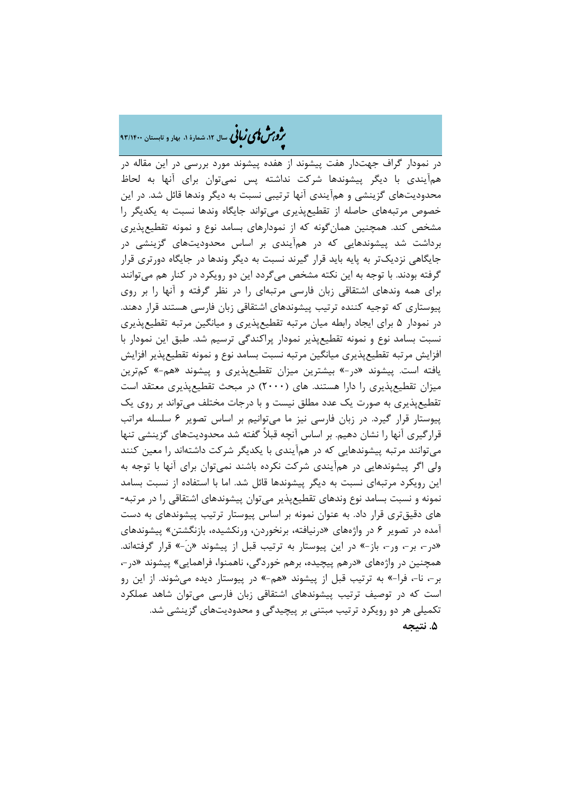# ه م**شملی زبانی** سال ۱۲، شمارهٔ ۱، بهار و تابستان ۹۳/۱۴۰۰

در نمودار گراف جهتدار هفت پیشوند از هفده پیشوند مورد بررسی در این مقاله در همآیندي با دیگر پیشوندها شرکت نداشته پس نمیتوان براي آنها به لحاظ محدودیتهاي گزینشی و همآیندي آنها ترتیبی نسبت به دیگر وندها قائل شد. در این خصوص مرتبههاي حاصله از تقطیعپذیري میتواند جایگاه وندها نسبت به یکدیگر را مشخص کند. همچنین همانگونه که از نمودارهاي بسامد نوع و نمونه تقطیعپذیري برداشت شد پیشوندهایی که در همآیندي بر اساس محدودیتهاي گزینشی در جایگاهی نزدیکتر به پایه باید قرار گیرند نسبت به دیگر وندها در جایگاه دورتري قرار گرفته بودند. با توجه به این نکته مشخص میگردد این دو رویکرد در کنار هم میتوانند براي همه وندهاي اشتقاقی زبان فارسی مرتبهاي را در نظر گرفته و آنها را بر روي پیوستاري که توجیه کننده ترتیب پیشوندهاي اشتقاقی زبان فارسی هستند قرار دهند. در نمودار 5 براي ایجاد رابطه میان مرتبه تقطیعپذیري و میانگین مرتبه تقطیعپذیري نسبت بسامد نوع و نمونه تقطیعپذیر نمودار پراکندگی ترسیم شد. طبق این نمودار با افزایش مرتبه تقطیعپذیري میانگین مرتبه نسبت بسامد نوع و نمونه تقطیعپذیر افزایش یافته است. پیشوند «در-» بیشترین میزان تقطیعپذیري و پیشوند «هم-» کمترین میزان تقطیعپذیري را دارا هستند. هاي (2000) در مبحث تقطیعپذیري معتقد است تقطیعپذیري به صورت یک عدد مطلق نیست و با درجات مختلف میتواند بر روي یک پیوستار قرار گیرد. در زبان فارسی نیز ما میتوانیم بر اساس تصویر 6 سلسله مراتب قرارگیري آنها را نشان دهیم. بر اساس آنچه قبلاً گفته شد محدودیتهاي گزینشی تنها میتوانند مرتبه پیشوندهایی که در همآیندي با یکدیگر شرکت داشتهاند را معین کنند ولی اگر پیشوندهایی در همآیندي شرکت نکرده باشند نمیتوان براي آنها با توجه به این رویکرد مرتبهاي نسبت به دیگر پیشوندها قائل شد. اما با استفاده از نسبت بسامد نمونه و نسبت بسامد نوع وندهاي تقطیعپذیر میتوان پیشوندهاي اشتقاقی را در مرتبه- هاي دقیقتري قرار داد. به عنوان نمونه بر اساس پیوستار ترتیب پیشوندهاي به دست آمده در تصویر 6 در واژههاي «درنیافته، برنخوردن، ورنکشیده، بازنگشتن» پیشوندهاي «در،- بر،- ور،- باز-» در این پیوستار به ترتیب قبل از پیشوند «ن-َ» قرار گرفتهاند. همچنین در واژههاي «درهم پیچیده، برهم خوردگی، ناهمنوا، فراهمایی» پیشوند «در،- بر،- نا،- فرا-» به ترتیب قبل از پیشوند «هم-» در پیوستار دیده میشوند. از این رو است که در توصیف ترتیب پیشوندهاي اشتقاقی زبان فارسی میتوان شاهد عملکرد تکمیلی هر دو رویکرد ترتیب مبتنی بر پیچیدگی و محدودیتهاي گزینشی شد. **.5 نتیجه**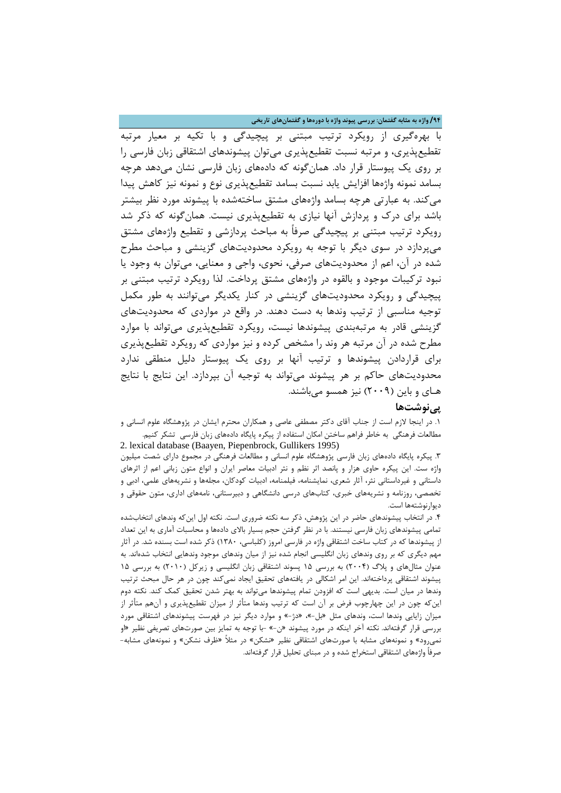**/94 واژه به مثابه گفتمان: بررسی پیوند واژه با دورهها و گفتمانهاي تاریخی**

با بهرهگیري از رویکرد ترتیب مبتنی بر پیچیدگی و با تکیه بر معیار مرتبه تقطیعپذیري، و مرتبه نسبت تقطیعپذیري میتوان پیشوندهاي اشتقاقی زبان فارسی را بر روي یک پیوستار قرار داد. همانگونه که دادههاي زبان فارسی نشان میدهد هرچه بسامد نمونه واژهها افزایش یابد نسبت بسامد تقطیعپذیري نوع و نمونه نیز کاهش پیدا میکند. به عبارتی هرچه بسامد واژههاي مشتق ساختهشده با پیشوند مورد نظر بیشتر باشد براي درك و پردازش آنها نیازي به تقطیعپذیري نیست. همانگونه که ذکر شد رویکرد ترتیب مبتنی بر پیچیدگی صرفاً به مباحث پردازشی و تقطیع واژههاي مشتق میپردازد در سوي دیگر با توجه به رویکرد محدودیتهاي گزینشی و مباحث مطرح شده در آن، اعم از محدودیتهاي صرفی، نحوي، واجی و معنایی، میتوان به وجود یا نبود ترکیبات موجود و بالقوه در واژههاي مشتق پرداخت. لذا رویکرد ترتیب مبتنی بر پیچیدگی و رویکرد محدودیتهاي گزینشی در کنار یکدیگر میتوانند به طور مکمل توجیه مناسبی از ترتیب وندها به دست دهند. در واقع در مواردي که محدودیتهاي گزینشی قادر به مرتبهبندي پیشوندها نیست، رویکرد تقطیعپذیري میتواند با موارد مطرح شده در آن مرتبه هر وند را مشخص کرده و نیز مواردي که رویکرد تقطیعپذیري براي قراردادن پیشوندها و ترتیب آنها بر روي یک پیوستار دلیل منطقی ندارد محدودیتهاي حاکم بر هر پیشوند میتواند به توجیه آن بپردازد. این نتایج با نتایج هـاي و باین (2009) نیز همسو میباشند.

### **پینوشتها**

.1 در اینجا لازم است از جناب آقاي دکتر مصطفی عاصی و همکاران محترم ایشان در پژوهشگاه علوم انسانی و مطالعات فرهنگی به خاطر فراهم ساختن امکان استفاده از پیکره پایگاه دادههاي زبان فارسی تشکر کنیم.

2. lexical database (Baayen, Piepenbrock, Gullikers 1995) .3 پیکره پایگاه دادههاي زبان فارسی پژوهشگاه علوم انسانی و مطالعات فرهنگی در مجموع داراي شصت میلیون واژه ست. این پیکره حاوي هزار و پانصد اثر نظم و نثر ادبیات معاصر ایران و انواع متون زبانی اعم از اثرهاي داستانی و غیرداستانی نثر، آثار شعري، نمایشنامه، فیلمنامه، ادبیات کودکان، مجلهها و نشریههاي علمی، ادبی و تخصصی، روزنامه و نشریههاي خبري، کتابهاي درسی دانشگاهی و دبیرستانی، نامههاي اداري، متون حقوقی و دیوارنوشتهها است.

.4 در انتخاب پیشوندهاي حاضر در این پژوهش، ذکر سه نکته ضروري است. نکته اول اینکه وندهاي انتخابشده تمامی پیشوندهاي زبان فارسی نیستند. با در نظر گرفتن حجم بسیار بالاي دادهها و محاسبات آماري به این تعداد از پیشوندها که در کتاب ساخت اشتقاقی واژه در فارسی امروز (کلباسی، 1380) ذکر شده است بسنده شد. در آثار مهم دیگري که بر روي وندهاي زبان انگلیسی انجام شده نیز از میان وندهاي موجود وندهایی انتخاب شدهاند. به عنوان مثالهاي و پلاگ (2004) به بررسی 15 پسوند اشتقاقی زبان انگلیسی و زیرکل (2010) به بررسی 15 پیشوند اشتقاقی پرداختهاند. این امر اشکالی در یافتههاي تحقیق ایجاد نمیکند چون در هر حال مبحث ترتیب وندها در میان است. بدیهی است که افزودن تمام پیشوندها میتواند به بهتر شدن تحقیق کمک کند. نکته دوم اینکه چون در این چهارچوب فرض بر آن است که ترتیب وندها متأثر از میزان تقطیعپذیري و آنهم متأثر از میزان زایایی وندها است، وندهاي مثل «بل-»، «دژ-» و موارد دیگر نیز در فهرست پیشوندهاي اشتقاقی مورد بررسی قرار گرفتهاند. نکته آخر اینکه در مورد پیشوند «ن-» -با توجه به تمایز بین صورتهاي تصریفی نظیر «او نمیرود» و نمونههاي مشابه با صورتهاي اشتقاقی نظیر «نشکن» در مثلاً «ظرف نشکن» و نمونههاي مشابه- صرفاً واژههاي اشتقاقی استخراج شده و در مبناي تحلیل قرار گرفتهاند.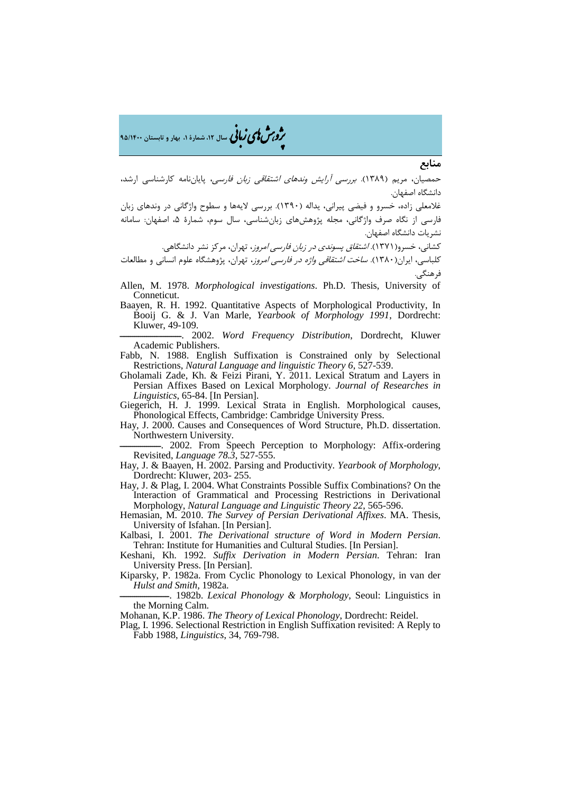ه در استان ۱۴۰۰ میلی و تابستان ۹۵/۱۴۰۰ شمارهٔ ۱، بهار و تابستان ۹۵/۱۴۰۰

#### **منابع**

حمصیان، مریم (1389). بررسی آرایش وندهاي اشتقاقی زبان فارسی، پایاننامه کارشناسی ارشد، دانشگاه اصفهان.

غلامعلی زاده، خسرو و فیضی پیرانی، یداله (1390). بررسی لایهها و سطوح واژگانی در وندهاي زبان فارسی از نگاه صرف واژگانی، مجله پژوهشهاي زبانشناسی، سال سوم، شمارة ،5 اصفهان: سامانه نشریات دانشگاه اصفهان.

کشانی، خسرو(۱۳۷۱). *اشتقاق پسوندی در زبان فارسی امروز*، تهران، مرکز نشر دانشگاهی.

کلباسی، ایران(۱۳۸۰). *ساخت اشتقاقی واژه در فارسی امروز*، تهران، پژوهشگاه علوم انسانی و مطالعات فرهنگی.

Allen, M. 1978. *Morphological investigations*. Ph.D. Thesis, University of Conneticut.

Baayen, R. H. 1992. Quantitative Aspects of Morphological Productivity, In Booij G. & J. Van Marle, *Yearbook of Morphology 1991*, Dordrecht: Kluwer, 49-109.

ــــــــــــــــــــــــــــــ. 2002. *Word Frequency Distribution*, Dordrecht, Kluwer Academic Publishers.

Fabb, N. 1988. English Suffixation is Constrained only by Selectional Restrictions, *Natural Language and linguistic Theory 6*, 527-539.

Gholamali Zade, Kh. & Feizi Pirani, Y. 2011. Lexical Stratum and Layers in Persian Affixes Based on Lexical Morphology. *Journal of Researches in Linguistics*, 65-84. [In Persian].

Giegerich, H. J. 1999. Lexical Strata in English. Morphological causes, Phonological Effects, Cambridge: Cambridge University Press.

Hay, J. 2000. Causes and Consequences of Word Structure, Ph.D. dissertation. Northwestern University.

 $-$ . 2002. From Speech Perception to Morphology: Affix-ordering Revisited, *Language 78.3*, 527-555.

Hay, J. & Baayen, H. 2002. Parsing and Productivity. *Yearbook of Morphology*, Dordrecht: Kluwer, 203- 255.

Hay, J. & Plag, I. 2004. What Constraints Possible Suffix Combinations? On the Interaction of Grammatical and Processing Restrictions in Derivational Morphology, *Natural Language and Linguistic Theory 22*, 565-596.

Hemasian, M. 2010. *The Survey of Persian Derivational Affixes*. MA. Thesis, University of Isfahan. [In Persian].

Kalbasi, I. 2001. *The Derivational structure of Word in Modern Persian*. Tehran: Institute for Humanities and Cultural Studies. [In Persian].

- Keshani, Kh. 1992. *Suffix Derivation in Modern Persian*. Tehran: Iran University Press. [In Persian].
- Kiparsky, P. 1982a. From Cyclic Phonology to Lexical Phonology, in van der *Hulst and Smith,* 1982a.

ــــــــــــــــــــــــ. 1982b. *Lexical Phonology & Morphology*, Seoul: Linguistics in the Morning Calm.

Mohanan, K.P. 1986. *The Theory of Lexical Phonology*, Dordrecht: Reidel.

Plag, I. 1996. Selectional Restriction in English Suffixation revisited: A Reply to Fabb 1988, *Linguistics*, 34, 769-798.